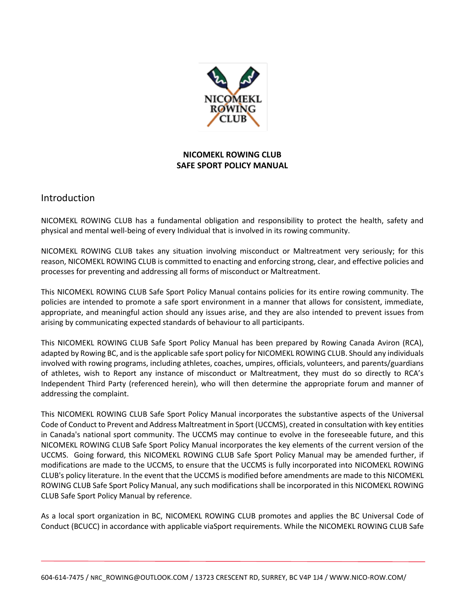

# **NICOMEKL ROWING CLUB SAFE SPORT POLICY MANUAL**

# Introduction

NICOMEKL ROWING CLUB has a fundamental obligation and responsibility to protect the health, safety and physical and mental well-being of every Individual that is involved in its rowing community.

NICOMEKL ROWING CLUB takes any situation involving misconduct or Maltreatment very seriously; for this reason, NICOMEKL ROWING CLUB is committed to enacting and enforcing strong, clear, and effective policies and processes for preventing and addressing all forms of misconduct or Maltreatment.

This NICOMEKL ROWING CLUB Safe Sport Policy Manual contains policies for its entire rowing community. The policies are intended to promote a safe sport environment in a manner that allows for consistent, immediate, appropriate, and meaningful action should any issues arise, and they are also intended to prevent issues from arising by communicating expected standards of behaviour to all participants.

This NICOMEKL ROWING CLUB Safe Sport Policy Manual has been prepared by Rowing Canada Aviron (RCA), adapted by Rowing BC, and is the applicable safe sport policy for NICOMEKL ROWING CLUB. Should any individuals involved with rowing programs, including athletes, coaches, umpires, officials, volunteers, and parents/guardians of athletes, wish to Report any instance of misconduct or Maltreatment, they must do so directly to RCA's Independent Third Party (referenced herein), who will then determine the appropriate forum and manner of addressing the complaint.

This NICOMEKL ROWING CLUB Safe Sport Policy Manual incorporates the substantive aspects of the Universal Code of Conduct to Prevent and Address Maltreatment in Sport (UCCMS), created in consultation with key entities in Canada's national sport community. The UCCMS may continue to evolve in the foreseeable future, and this NICOMEKL ROWING CLUB Safe Sport Policy Manual incorporates the key elements of the current version of the UCCMS. Going forward, this NICOMEKL ROWING CLUB Safe Sport Policy Manual may be amended further, if modifications are made to the UCCMS, to ensure that the UCCMS is fully incorporated into NICOMEKL ROWING CLUB's policy literature. In the event that the UCCMS is modified before amendments are made to this NICOMEKL ROWING CLUB Safe Sport Policy Manual, any such modifications shall be incorporated in this NICOMEKL ROWING CLUB Safe Sport Policy Manual by reference.

As a local sport organization in BC, NICOMEKL ROWING CLUB promotes and applies the BC Universal Code of Conduct (BCUCC) in accordance with applicable viaSport requirements. While the NICOMEKL ROWING CLUB Safe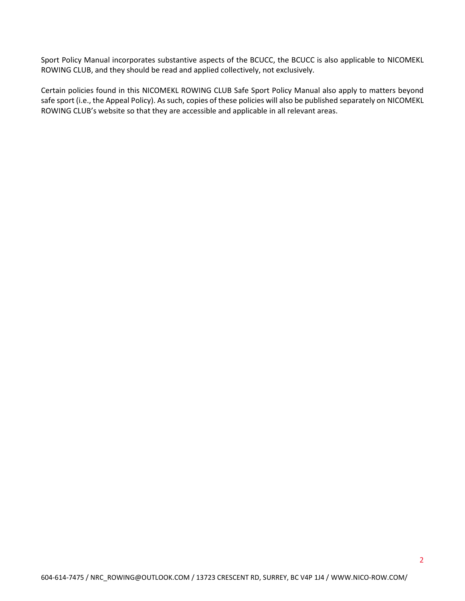Sport Policy Manual incorporates substantive aspects of the BCUCC, the BCUCC is also applicable to NICOMEKL ROWING CLUB, and they should be read and applied collectively, not exclusively.

Certain policies found in this NICOMEKL ROWING CLUB Safe Sport Policy Manual also apply to matters beyond safe sport (i.e., the Appeal Policy). As such, copies of these policies will also be published separately on NICOMEKL ROWING CLUB's website so that they are accessible and applicable in all relevant areas.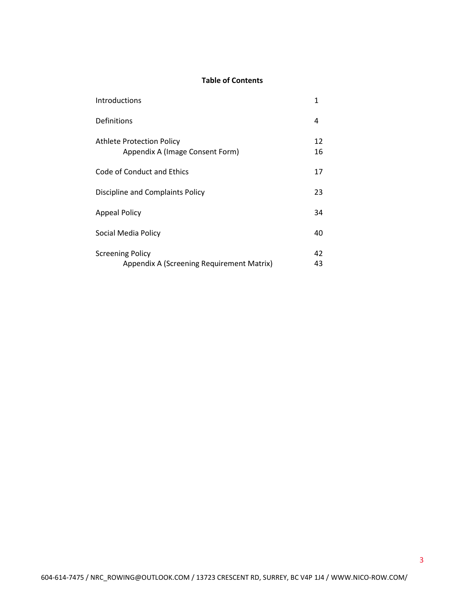# **Table of Contents**

| Introductions                                                        | 1        |
|----------------------------------------------------------------------|----------|
| Definitions                                                          | 4        |
| Athlete Protection Policy<br>Appendix A (Image Consent Form)         | 12<br>16 |
| Code of Conduct and Ethics                                           | 17       |
| Discipline and Complaints Policy                                     | 23       |
| <b>Appeal Policy</b>                                                 | 34       |
| Social Media Policy                                                  | 40       |
| <b>Screening Policy</b><br>Appendix A (Screening Requirement Matrix) | 42<br>43 |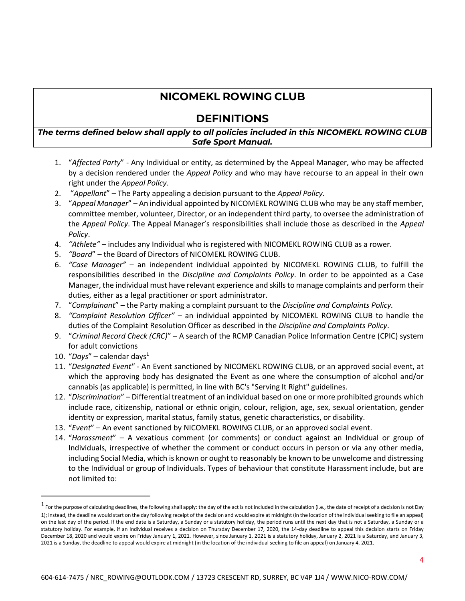# **NICOMEKL ROWING CLUB**

# **DEFINITIONS**

# *The terms defined below shall apply to all policies included in this NICOMEKL ROWING CLUB Safe Sport Manual.*

- 1. "*Affected Party*" Any Individual or entity, as determined by the Appeal Manager, who may be affected by a decision rendered under the *Appeal Policy* and who may have recourse to an appeal in their own right under the *Appeal Policy*.
- 2. "*Appellant*" The Party appealing a decision pursuant to the *Appeal Policy*.
- 3. "*Appeal Manager*" An individual appointed by NICOMEKL ROWING CLUB who may be any staff member, committee member, volunteer, Director, or an independent third party, to oversee the administration of the *Appeal Policy*. The Appeal Manager's responsibilities shall include those as described in the *Appeal Policy*.
- 4. *"Athlete"* includes any Individual who is registered with NICOMEKL ROWING CLUB as a rower.
- 5. *"Board*" the Board of Directors of NICOMEKL ROWING CLUB.
- 6. *"Case Manager"* an independent individual appointed by NICOMEKL ROWING CLUB, to fulfill the responsibilities described in the *Discipline and Complaints Policy*. In order to be appointed as a Case Manager, the individual must have relevant experience and skills to manage complaints and perform their duties, either as a legal practitioner or sport administrator.
- 7. "*Complainant*" the Party making a complaint pursuant to the *Discipline and Complaints Policy.*
- 8. *"Complaint Resolution Officer"* an individual appointed by NICOMEKL ROWING CLUB to handle the duties of the Complaint Resolution Officer as described in the *Discipline and Complaints Policy*.
- 9. "*Criminal Record Check (CRC)*" A search of the RCMP Canadian Police Information Centre (CPIC) system for adult convictions
- 10. "*Days*" calendar days<sup>1</sup>
- 11. "*Designated Event"* An Event sanctioned by NICOMEKL ROWING CLUB, or an approved social event, at which the approving body has designated the Event as one where the consumption of alcohol and/or cannabis (as applicable) is permitted, in line with BC's "Serving It Right" guidelines.
- 12. "*Discrimination*" Differential treatment of an individual based on one or more prohibited grounds which include race, citizenship, national or ethnic origin, colour, religion, age, sex, sexual orientation, gender identity or expression, marital status, family status, genetic characteristics, or disability.
- 13. "*Event*" An event sanctioned by NICOMEKL ROWING CLUB, or an approved social event.
- 14. "*Harassment*" A vexatious comment (or comments) or conduct against an Individual or group of Individuals, irrespective of whether the comment or conduct occurs in person or via any other media, including Social Media, which is known or ought to reasonably be known to be unwelcome and distressing to the Individual or group of Individuals. Types of behaviour that constitute Harassment include, but are not limited to:

 $^1$  For the purpose of calculating deadlines, the following shall apply: the day of the act is not included in the calculation (i.e., the date of receipt of a decision is not Day 1); instead, the deadline would start on the day following receipt of the decision and would expire at midnight (in the location of the individual seeking to file an appeal) on the last day of the period. If the end date is a Saturday, a Sunday or a statutory holiday, the period runs until the next day that is not a Saturday, a Sunday or a statutory holiday. For example, if an Individual receives a decision on Thursday December 17, 2020, the 14-day deadline to appeal this decision starts on Friday December 18, 2020 and would expire on Friday January 1, 2021. However, since January 1, 2021 is a statutory holiday, January 2, 2021 is a Saturday, and January 3, 2021 is a Sunday, the deadline to appeal would expire at midnight (in the location of the individual seeking to file an appeal) on January 4, 2021.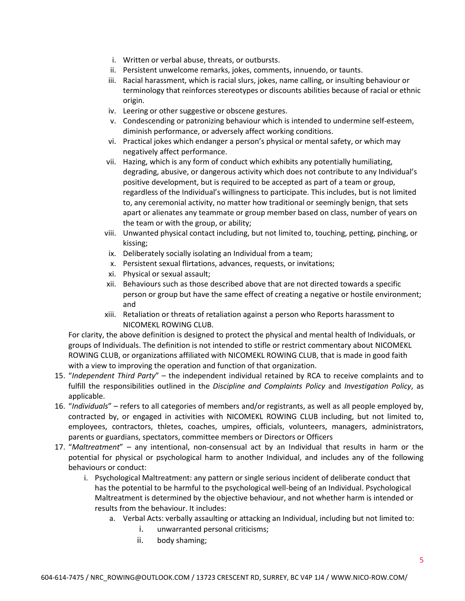- i. Written or verbal abuse, threats, or outbursts.
- ii. Persistent unwelcome remarks, jokes, comments, innuendo, or taunts.
- iii. Racial harassment, which is racial slurs, jokes, name calling, or insulting behaviour or terminology that reinforces stereotypes or discounts abilities because of racial or ethnic origin.
- iv. Leering or other suggestive or obscene gestures.
- v. Condescending or patronizing behaviour which is intended to undermine self-esteem, diminish performance, or adversely affect working conditions.
- vi. Practical jokes which endanger a person's physical or mental safety, or which may negatively affect performance.
- vii. Hazing, which is any form of conduct which exhibits any potentially humiliating, degrading, abusive, or dangerous activity which does not contribute to any Individual's positive development, but is required to be accepted as part of a team or group, regardless of the Individual's willingness to participate. This includes, but is not limited to, any ceremonial activity, no matter how traditional or seemingly benign, that sets apart or alienates any teammate or group member based on class, number of years on the team or with the group, or ability;
- viii. Unwanted physical contact including, but not limited to, touching, petting, pinching, or kissing;
- ix. Deliberately socially isolating an Individual from a team;
- x. Persistent sexual flirtations, advances, requests, or invitations;
- xi. Physical or sexual assault;
- xii. Behaviours such as those described above that are not directed towards a specific person or group but have the same effect of creating a negative or hostile environment; and
- xiii. Retaliation or threats of retaliation against a person who Reports harassment to NICOMEKL ROWING CLUB.

For clarity, the above definition is designed to protect the physical and mental health of Individuals, or groups of Individuals. The definition is not intended to stifle or restrict commentary about NICOMEKL ROWING CLUB, or organizations affiliated with NICOMEKL ROWING CLUB, that is made in good faith with a view to improving the operation and function of that organization.

- 15. "*Independent Third Party*" the independent individual retained by RCA to receive complaints and to fulfill the responsibilities outlined in the *Discipline and Complaints Policy* and *Investigation Policy*, as applicable.
- 16. "*Individuals*" refers to all categories of members and/or registrants, as well as all people employed by, contracted by, or engaged in activities with NICOMEKL ROWING CLUB including, but not limited to, employees, contractors, thletes, coaches, umpires, officials, volunteers, managers, administrators, parents or guardians, spectators, committee members or Directors or Officers
- 17. "*Maltreatment*" any intentional, non-consensual act by an Individual that results in harm or the potential for physical or psychological harm to another Individual, and includes any of the following behaviours or conduct:
	- i. Psychological Maltreatment: any pattern or single serious incident of deliberate conduct that has the potential to be harmful to the psychological well-being of an Individual. Psychological Maltreatment is determined by the objective behaviour, and not whether harm is intended or results from the behaviour. It includes:
		- a. Verbal Acts: verbally assaulting or attacking an Individual, including but not limited to:
			- i. unwarranted personal criticisms;
			- ii. body shaming;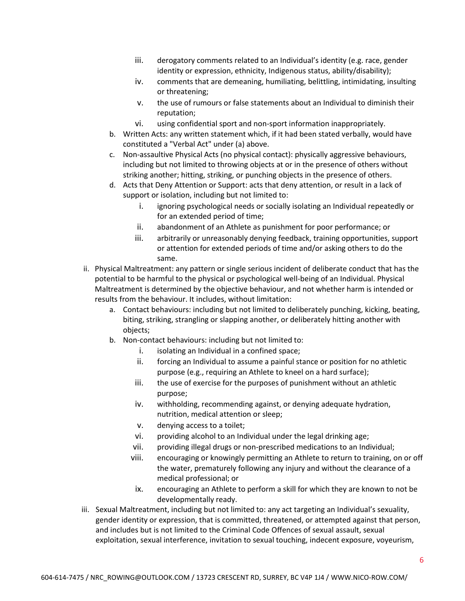- iii. derogatory comments related to an Individual's identity (e.g. race, gender identity or expression, ethnicity, Indigenous status, ability/disability);
- iv. comments that are demeaning, humiliating, belittling, intimidating, insulting or threatening;
- v. the use of rumours or false statements about an Individual to diminish their reputation;
- vi. using confidential sport and non-sport information inappropriately.
- b. Written Acts: any written statement which, if it had been stated verbally, would have constituted a "Verbal Act" under (a) above.
- c. Non-assaultive Physical Acts (no physical contact): physically aggressive behaviours, including but not limited to throwing objects at or in the presence of others without striking another; hitting, striking, or punching objects in the presence of others.
- d. Acts that Deny Attention or Support: acts that deny attention, or result in a lack of support or isolation, including but not limited to:
	- i. ignoring psychological needs or socially isolating an Individual repeatedly or for an extended period of time;
	- ii. abandonment of an Athlete as punishment for poor performance; or
	- iii. arbitrarily or unreasonably denying feedback, training opportunities, support or attention for extended periods of time and/or asking others to do the same.
- ii. Physical Maltreatment: any pattern or single serious incident of deliberate conduct that has the potential to be harmful to the physical or psychological well-being of an Individual. Physical Maltreatment is determined by the objective behaviour, and not whether harm is intended or results from the behaviour. It includes, without limitation:
	- a. Contact behaviours: including but not limited to deliberately punching, kicking, beating, biting, striking, strangling or slapping another, or deliberately hitting another with objects;
	- b. Non-contact behaviours: including but not limited to:
		- i. isolating an Individual in a confined space;
		- ii. forcing an Individual to assume a painful stance or position for no athletic purpose (e.g., requiring an Athlete to kneel on a hard surface);
		- iii. the use of exercise for the purposes of punishment without an athletic purpose;
		- iv. withholding, recommending against, or denying adequate hydration, nutrition, medical attention or sleep;
		- v. denying access to a toilet;
		- vi. providing alcohol to an Individual under the legal drinking age;
		- vii. providing illegal drugs or non-prescribed medications to an Individual;
		- viii. encouraging or knowingly permitting an Athlete to return to training, on or off the water, prematurely following any injury and without the clearance of a medical professional; or
		- ix. encouraging an Athlete to perform a skill for which they are known to not be developmentally ready.
- iii. Sexual Maltreatment, including but not limited to: any act targeting an Individual's sexuality, gender identity or expression, that is committed, threatened, or attempted against that person, and includes but is not limited to the Criminal Code Offences of sexual assault, sexual exploitation, sexual interference, invitation to sexual touching, indecent exposure, voyeurism,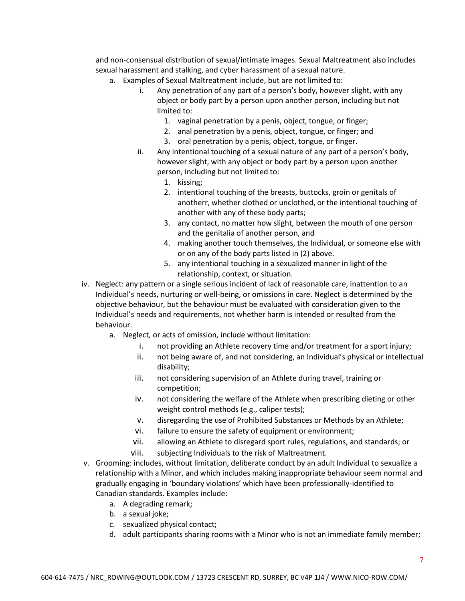and non-consensual distribution of sexual/intimate images. Sexual Maltreatment also includes sexual harassment and stalking, and cyber harassment of a sexual nature.

- a. Examples of Sexual Maltreatment include, but are not limited to:
	- i. Any penetration of any part of a person's body, however slight, with any object or body part by a person upon another person, including but not limited to:
		- 1. vaginal penetration by a penis, object, tongue, or finger;
		- 2. anal penetration by a penis, object, tongue, or finger; and
		- 3. oral penetration by a penis, object, tongue, or finger.
	- ii. Any intentional touching of a sexual nature of any part of a person's body, however slight, with any object or body part by a person upon another person, including but not limited to:
		- 1. kissing;
		- 2. intentional touching of the breasts, buttocks, groin or genitals of anotherr, whether clothed or unclothed, or the intentional touching of another with any of these body parts;
		- 3. any contact, no matter how slight, between the mouth of one person and the genitalia of another person, and
		- 4. making another touch themselves, the Individual, or someone else with or on any of the body parts listed in (2) above.
		- 5. any intentional touching in a sexualized manner in light of the relationship, context, or situation.
- iv. Neglect: any pattern or a single serious incident of lack of reasonable care, inattention to an Individual's needs, nurturing or well-being, or omissions in care. Neglect is determined by the objective behaviour, but the behaviour must be evaluated with consideration given to the Individual's needs and requirements, not whether harm is intended or resulted from the behaviour.
	- a. Neglect*,* or acts of omission, include without limitation:
		- i. not providing an Athlete recovery time and/or treatment for a sport injury;
		- ii. not being aware of, and not considering, an Individual's physical or intellectual disability;
		- iii. not considering supervision of an Athlete during travel, training or competition;
		- iv. not considering the welfare of the Athlete when prescribing dieting or other weight control methods (e.g., caliper tests);
		- v. disregarding the use of Prohibited Substances or Methods by an Athlete;
		- vi. failure to ensure the safety of equipment or environment;
		- vii. allowing an Athlete to disregard sport rules, regulations, and standards; or viii. subjecting Individuals to the risk of Maltreatment.
- v. Grooming: includes, without limitation, deliberate conduct by an adult Individual to sexualize a relationship with a Minor, and which includes making inappropriate behaviour seem normal and gradually engaging in 'boundary violations' which have been professionally-identified to Canadian standards. Examples include:
	- a. A degrading remark;
	- b. a sexual joke;
	- c. sexualized physical contact;
	- d. adult participants sharing rooms with a Minor who is not an immediate family member;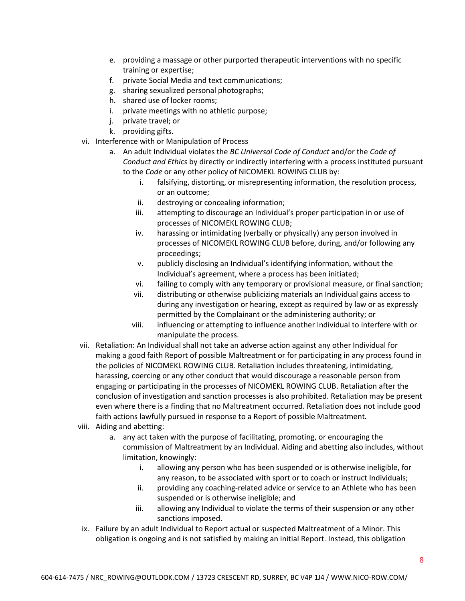- e. providing a massage or other purported therapeutic interventions with no specific training or expertise;
- f. private Social Media and text communications;
- g. sharing sexualized personal photographs;
- h. shared use of locker rooms;
- i. private meetings with no athletic purpose;
- j. private travel; or
- k. providing gifts.
- vi. Interference with or Manipulation of Process
	- a. An adult Individual violates the *BC Universal Code of Conduct* and/or the *Code of Conduct and Ethics* by directly or indirectly interfering with a process instituted pursuant to the *Code* or any other policy of NICOMEKL ROWING CLUB by:
		- i. falsifying, distorting, or misrepresenting information, the resolution process, or an outcome;
		- ii. destroying or concealing information;
		- iii. attempting to discourage an Individual's proper participation in or use of processes of NICOMEKL ROWING CLUB;
		- iv. harassing or intimidating (verbally or physically) any person involved in processes of NICOMEKL ROWING CLUB before, during, and/or following any proceedings;
		- v. publicly disclosing an Individual's identifying information, without the Individual's agreement, where a process has been initiated;
		- vi. failing to comply with any temporary or provisional measure, or final sanction;
		- vii. distributing or otherwise publicizing materials an Individual gains access to during any investigation or hearing, except as required by law or as expressly permitted by the Complainant or the administering authority; or
		- viii. influencing or attempting to influence another Individual to interfere with or manipulate the process.
- vii. Retaliation: An Individual shall not take an adverse action against any other Individual for making a good faith Report of possible Maltreatment or for participating in any process found in the policies of NICOMEKL ROWING CLUB. Retaliation includes threatening, intimidating, harassing, coercing or any other conduct that would discourage a reasonable person from engaging or participating in the processes of NICOMEKL ROWING CLUB. Retaliation after the conclusion of investigation and sanction processes is also prohibited. Retaliation may be present even where there is a finding that no Maltreatment occurred. Retaliation does not include good faith actions lawfully pursued in response to a Report of possible Maltreatment*.*
- viii. Aiding and abetting:
	- a. any act taken with the purpose of facilitating, promoting, or encouraging the commission of Maltreatment by an Individual. Aiding and abetting also includes, without limitation, knowingly:
		- i. allowing any person who has been suspended or is otherwise ineligible, for any reason, to be associated with sport or to coach or instruct Individuals;
		- ii. providing any coaching-related advice or service to an Athlete who has been suspended or is otherwise ineligible; and
		- iii. allowing any Individual to violate the terms of their suspension or any other sanctions imposed.
- ix. Failure by an adult Individual to Report actual or suspected Maltreatment of a Minor. This obligation is ongoing and is not satisfied by making an initial Report. Instead, this obligation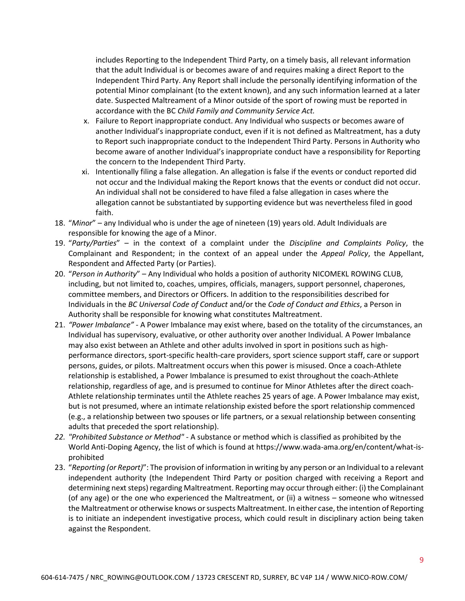includes Reporting to the Independent Third Party, on a timely basis, all relevant information that the adult Individual is or becomes aware of and requires making a direct Report to the Independent Third Party. Any Report shall include the personally identifying information of the potential Minor complainant (to the extent known), and any such information learned at a later date. Suspected Maltreament of a Minor outside of the sport of rowing must be reported in accordance with the BC *Child Family and Community Service Act.*

- x. Failure to Report inappropriate conduct. Any Individual who suspects or becomes aware of another Individual's inappropriate conduct, even if it is not defined as Maltreatment, has a duty to Report such inappropriate conduct to the Independent Third Party. Persons in Authority who become aware of another Individual's inappropriate conduct have a responsibility for Reporting the concern to the Independent Third Party.
- xi. Intentionally filing a false allegation. An allegation is false if the events or conduct reported did not occur and the Individual making the Report knows that the events or conduct did not occur. An individual shall not be considered to have filed a false allegation in cases where the allegation cannot be substantiated by supporting evidence but was nevertheless filed in good faith.
- 18. "*Minor*" any Individual who is under the age of nineteen (19) years old. Adult Individuals are responsible for knowing the age of a Minor.
- 19. "*Party/Parties*" in the context of a complaint under the *Discipline and Complaints Policy*, the Complainant and Respondent; in the context of an appeal under the *Appeal Policy*, the Appellant, Respondent and Affected Party (or Parties).
- 20. "*Person in Authority*" Any Individual who holds a position of authority NICOMEKL ROWING CLUB, including, but not limited to, coaches, umpires, officials, managers, support personnel, chaperones, committee members, and Directors or Officers. In addition to the responsibilities described for Individuals in the *BC Universal Code of Conduct* and/or the *Code of Conduct and Ethics*, a Person in Authority shall be responsible for knowing what constitutes Maltreatment.
- 21. *"Power Imbalance"* A Power Imbalance may exist where, based on the totality of the circumstances, an Individual has supervisory, evaluative, or other authority over another Individual*.* A Power Imbalance may also exist between an Athlete and other adults involved in sport in positions such as highperformance directors, sport-specific health-care providers, sport science support staff, care or support persons, guides, or pilots. Maltreatment occurs when this power is misused. Once a coach-Athlete relationship is established, a Power Imbalance is presumed to exist throughout the coach-Athlete relationship, regardless of age, and is presumed to continue for Minor Athletes after the direct coach-Athlete relationship terminates until the Athlete reaches 25 years of age. A Power Imbalance may exist, but is not presumed, where an intimate relationship existed before the sport relationship commenced (e.g., a relationship between two spouses or life partners, or a sexual relationship between consenting adults that preceded the sport relationship).
- *22. "Prohibited Substance or Method"* A substance or method which is classified as prohibited by the World Anti-Doping Agency, the list of which is found at https://www.wada-ama.org/en/content/what-isprohibited
- 23. "*Reporting (or Report)*": The provision of information in writing by any person or an Individual to a relevant independent authority (the Independent Third Party or position charged with receiving a Report and determining next steps) regarding Maltreatment. Reporting may occur through either: (i) the Complainant (of any age) or the one who experienced the Maltreatment, or (ii) a witness – someone who witnessed the Maltreatment or otherwise knows or suspects Maltreatment. In either case, the intention of Reporting is to initiate an independent investigative process, which could result in disciplinary action being taken against the Respondent.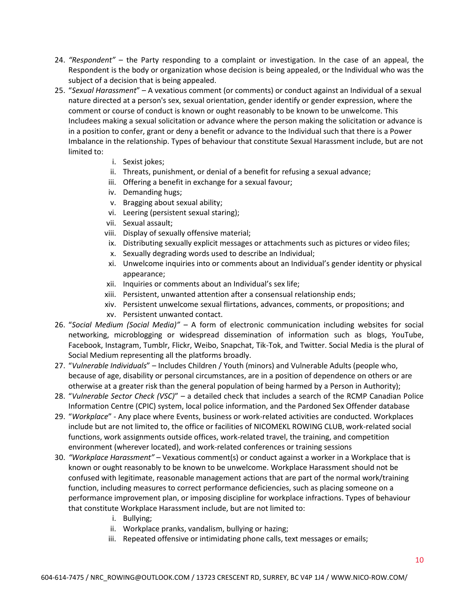- 24. *"Respondent"* the Party responding to a complaint or investigation. In the case of an appeal, the Respondent is the body or organization whose decision is being appealed, or the Individual who was the subject of a decision that is being appealed.
- 25. "*Sexual Harassment*" A vexatious comment (or comments) or conduct against an Individual of a sexual nature directed at a person's sex, sexual orientation, gender identify or gender expression, where the comment or course of conduct is known or ought reasonably to be known to be unwelcome. This Includees making a sexual solicitation or advance where the person making the solicitation or advance is in a position to confer, grant or deny a benefit or advance to the Individual such that there is a Power Imbalance in the relationship. Types of behaviour that constitute Sexual Harassment include, but are not limited to:
	- i. Sexist jokes;
	- ii. Threats, punishment, or denial of a benefit for refusing a sexual advance;
	- iii. Offering a benefit in exchange for a sexual favour;
	- iv. Demanding hugs;
	- v. Bragging about sexual ability;
	- vi. Leering (persistent sexual staring);
	- vii. Sexual assault;
	- viii. Display of sexually offensive material;
	- ix. Distributing sexually explicit messages or attachments such as pictures or video files;
	- x. Sexually degrading words used to describe an Individual;
	- xi. Unwelcome inquiries into or comments about an Individual's gender identity or physical appearance;
	- xii. Inquiries or comments about an Individual's sex life;
	- xiii. Persistent, unwanted attention after a consensual relationship ends;
	- xiv. Persistent unwelcome sexual flirtations, advances, comments, or propositions; and
	- xv. Persistent unwanted contact.
- 26. "*Social Medium (Social Media)"* A form of electronic communication including websites for social networking, microblogging or widespread dissemination of information such as blogs, YouTube, Facebook, Instagram, Tumblr, Flickr, Weibo, Snapchat, Tik-Tok, and Twitter. Social Media is the plural of Social Medium representing all the platforms broadly.
- 27. "*Vulnerable Individuals*" Includes Children / Youth (minors) and Vulnerable Adults (people who, because of age, disability or personal circumstances, are in a position of dependence on others or are otherwise at a greater risk than the general population of being harmed by a Person in Authority);
- 28. "*Vulnerable Sector Check (VSC)*" a detailed check that includes a search of the RCMP Canadian Police Information Centre (CPIC) system, local police information, and the Pardoned Sex Offender database
- 29. "*Workplace*" Any place where Events, business or work-related activities are conducted. Workplaces include but are not limited to, the office or facilities of NICOMEKL ROWING CLUB, work-related social functions, work assignments outside offices, work-related travel, the training, and competition environment (wherever located), and work-related conferences or training sessions
- 30. *"Workplace Harassment"* Vexatious comment(s) or conduct against a worker in a Workplace that is known or ought reasonably to be known to be unwelcome. Workplace Harassment should not be confused with legitimate, reasonable management actions that are part of the normal work/training function, including measures to correct performance deficiencies, such as placing someone on a performance improvement plan, or imposing discipline for workplace infractions. Types of behaviour that constitute Workplace Harassment include, but are not limited to:
	- i. Bullying;
	- ii. Workplace pranks, vandalism, bullying or hazing;
	- iii. Repeated offensive or intimidating phone calls, text messages or emails;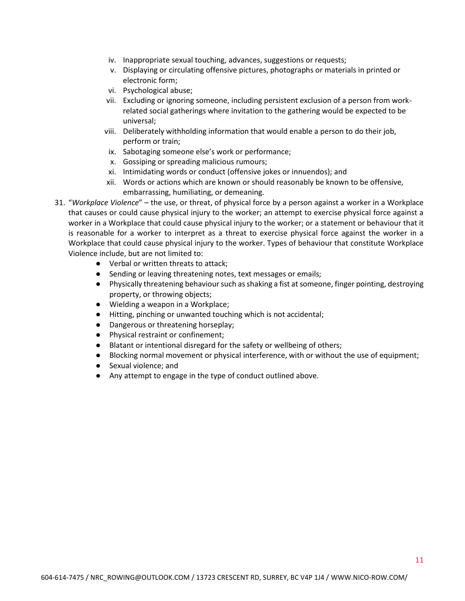- iv. Inappropriate sexual touching, advances, suggestions or requests;
- v. Displaying or circulating offensive pictures, photographs or materials in printed or electronic form;
- vi. Psychological abuse;
- vii. Excluding or ignoring someone, including persistent exclusion of a person from workrelated social gatherings where invitation to the gathering would be expected to be universal;
- viii. Deliberately withholding information that would enable a person to do their job, perform or train;
- ix. Sabotaging someone else's work or performance;
- x. Gossiping or spreading malicious rumours;
- xi. Intimidating words or conduct (offensive jokes or innuendos); and
- xii. Words or actions which are known or should reasonably be known to be offensive, embarrassing, humiliating, or demeaning.
- 31. "*Workplace Violence*" the use, or threat, of physical force by a person against a worker in a Workplace that causes or could cause physical injury to the worker; an attempt to exercise physical force against a worker in a Workplace that could cause physical injury to the worker; or a statement or behaviour that it is reasonable for a worker to interpret as a threat to exercise physical force against the worker in a Workplace that could cause physical injury to the worker. Types of behaviour that constitute Workplace Violence include, but are not limited to:
	- Verbal or written threats to attack;
	- Sending or leaving threatening notes, text messages or emails;
	- Physically threatening behaviour such as shaking a fist at someone, finger pointing, destroying property, or throwing objects;
	- Wielding a weapon in a Workplace;
	- Hitting, pinching or unwanted touching which is not accidental;
	- Dangerous or threatening horseplay;
	- Physical restraint or confinement;
	- Blatant or intentional disregard for the safety or wellbeing of others;
	- Blocking normal movement or physical interference, with or without the use of equipment;
	- Sexual violence; and
	- Any attempt to engage in the type of conduct outlined above.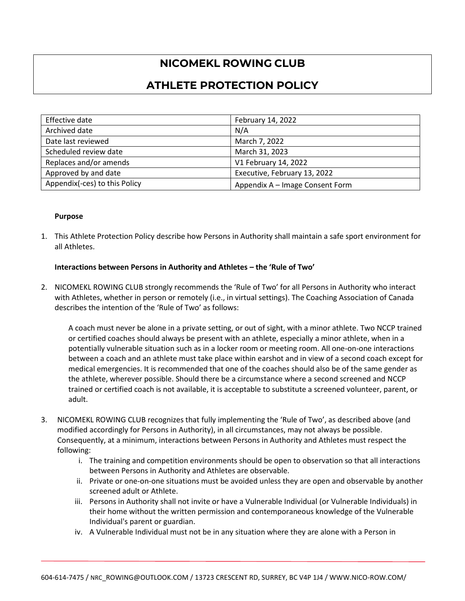# **NICOMEKL ROWING CLUB**

# **ATHLETE PROTECTION POLICY**

| Effective date                | February 14, 2022               |
|-------------------------------|---------------------------------|
| Archived date                 | N/A                             |
| Date last reviewed            | March 7, 2022                   |
| Scheduled review date         | March 31, 2023                  |
| Replaces and/or amends        | V1 February 14, 2022            |
| Approved by and date          | Executive, February 13, 2022    |
| Appendix(-ces) to this Policy | Appendix A - Image Consent Form |

#### **Purpose**

1. This Athlete Protection Policy describe how Persons in Authority shall maintain a safe sport environment for all Athletes.

#### **Interactions between Persons in Authority and Athletes – the 'Rule of Two'**

2. NICOMEKL ROWING CLUB strongly recommends the 'Rule of Two' for all Persons in Authority who interact with Athletes, whether in person or remotely (i.e., in virtual settings). The Coaching Association of Canada describes the intention of the 'Rule of Two' as follows:

A coach must never be alone in a private setting, or out of sight, with a minor athlete. Two NCCP trained or certified coaches should always be present with an athlete, especially a minor athlete, when in a potentially vulnerable situation such as in a locker room or meeting room. All one-on-one interactions between a coach and an athlete must take place within earshot and in view of a second coach except for medical emergencies. It is recommended that one of the coaches should also be of the same gender as the athlete, wherever possible. Should there be a circumstance where a second screened and NCCP trained or certified coach is not available, it is acceptable to substitute a screened volunteer, parent, or adult.

- 3. NICOMEKL ROWING CLUB recognizes that fully implementing the 'Rule of Two', as described above (and modified accordingly for Persons in Authority), in all circumstances, may not always be possible. Consequently, at a minimum, interactions between Persons in Authority and Athletes must respect the following:
	- i. The training and competition environments should be open to observation so that all interactions between Persons in Authority and Athletes are observable.
	- ii. Private or one-on-one situations must be avoided unless they are open and observable by another screened adult or Athlete.
	- iii. Persons in Authority shall not invite or have a Vulnerable Individual (or Vulnerable Individuals) in their home without the written permission and contemporaneous knowledge of the Vulnerable Individual's parent or guardian.
	- iv. A Vulnerable Individual must not be in any situation where they are alone with a Person in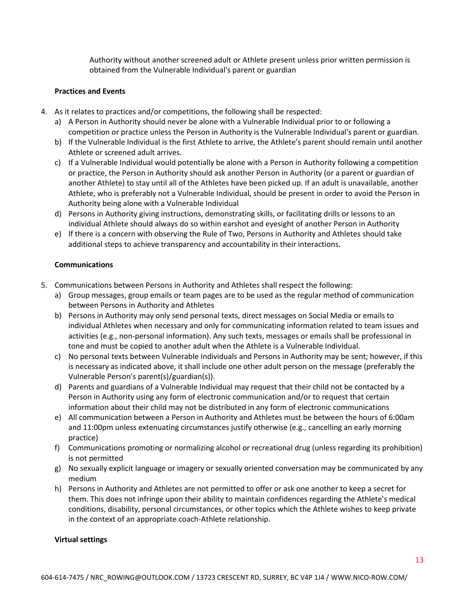Authority without another screened adult or Athlete present unless prior written permission is obtained from the Vulnerable Individual's parent or guardian

#### **Practices and Events**

- 4. As it relates to practices and/or competitions, the following shall be respected:
	- a) A Person in Authority should never be alone with a Vulnerable Individual prior to or following a competition or practice unless the Person in Authority is the Vulnerable Individual's parent or guardian.
	- b) If the Vulnerable Individual is the first Athlete to arrive, the Athlete's parent should remain until another Athlete or screened adult arrives.
	- c) If a Vulnerable Individual would potentially be alone with a Person in Authority following a competition or practice, the Person in Authority should ask another Person in Authority (or a parent or guardian of another Athlete) to stay until all of the Athletes have been picked up. If an adult is unavailable, another Athlete, who is preferably not a Vulnerable Individual, should be present in order to avoid the Person in Authority being alone with a Vulnerable Individual
	- d) Persons in Authority giving instructions, demonstrating skills, or facilitating drills or lessons to an individual Athlete should always do so within earshot and eyesight of another Person in Authority
	- e) If there is a concern with observing the Rule of Two, Persons in Authority and Athletes should take additional steps to achieve transparency and accountability in their interactions.

#### **Communications**

- 5. Communications between Persons in Authority and Athletes shall respect the following:
	- a) Group messages, group emails or team pages are to be used as the regular method of communication between Persons in Authority and Athletes
	- b) Persons in Authority may only send personal texts, direct messages on Social Media or emails to individual Athletes when necessary and only for communicating information related to team issues and activities (e.g., non-personal information). Any such texts, messages or emails shall be professional in tone and must be copied to another adult when the Athlete is a Vulnerable Individual.
	- c) No personal texts between Vulnerable Individuals and Persons in Authority may be sent; however, if this is necessary as indicated above, it shall include one other adult person on the message (preferably the Vulnerable Person's parent(s)/guardian(s)).
	- d) Parents and guardians of a Vulnerable Individual may request that their child not be contacted by a Person in Authority using any form of electronic communication and/or to request that certain information about their child may not be distributed in any form of electronic communications
	- e) All communication between a Person in Authority and Athletes must be between the hours of 6:00am and 11:00pm unless extenuating circumstances justify otherwise (e.g., cancelling an early morning practice)
	- f) Communications promoting or normalizing alcohol or recreational drug (unless regarding its prohibition) is not permitted
	- g) No sexually explicit language or imagery or sexually oriented conversation may be communicated by any medium
	- h) Persons in Authority and Athletes are not permitted to offer or ask one another to keep a secret for them. This does not infringe upon their ability to maintain confidences regarding the Athlete's medical conditions, disability, personal circumstances, or other topics which the Athlete wishes to keep private in the context of an appropriate coach-Athlete relationship.

#### **Virtual settings**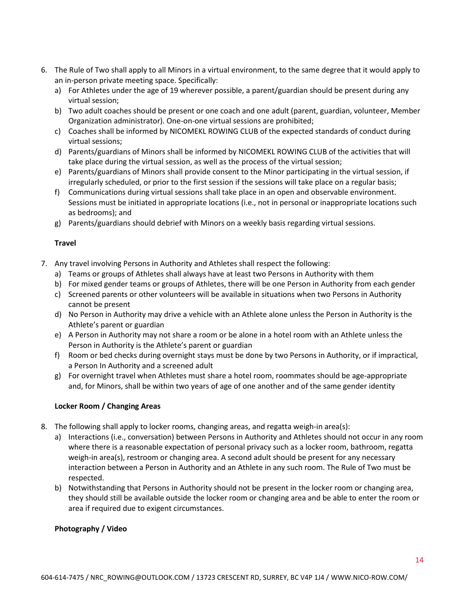- 6. The Rule of Two shall apply to all Minors in a virtual environment, to the same degree that it would apply to an in-person private meeting space. Specifically:
	- a) For Athletes under the age of 19 wherever possible, a parent/guardian should be present during any virtual session;
	- b) Two adult coaches should be present or one coach and one adult (parent, guardian, volunteer, Member Organization administrator). One-on-one virtual sessions are prohibited;
	- c) Coaches shall be informed by NICOMEKL ROWING CLUB of the expected standards of conduct during virtual sessions;
	- d) Parents/guardians of Minors shall be informed by NICOMEKL ROWING CLUB of the activities that will take place during the virtual session, as well as the process of the virtual session;
	- e) Parents/guardians of Minors shall provide consent to the Minor participating in the virtual session, if irregularly scheduled, or prior to the first session if the sessions will take place on a regular basis;
	- f) Communications during virtual sessions shall take place in an open and observable environment. Sessions must be initiated in appropriate locations (i.e., not in personal or inappropriate locations such as bedrooms); and
	- g) Parents/guardians should debrief with Minors on a weekly basis regarding virtual sessions.

# **Travel**

- 7. Any travel involving Persons in Authority and Athletes shall respect the following:
	- a) Teams or groups of Athletes shall always have at least two Persons in Authority with them
	- b) For mixed gender teams or groups of Athletes, there will be one Person in Authority from each gender
	- c) Screened parents or other volunteers will be available in situations when two Persons in Authority cannot be present
	- d) No Person in Authority may drive a vehicle with an Athlete alone unless the Person in Authority is the Athlete's parent or guardian
	- e) A Person in Authority may not share a room or be alone in a hotel room with an Athlete unless the Person in Authority is the Athlete's parent or guardian
	- f) Room or bed checks during overnight stays must be done by two Persons in Authority, or if impractical, a Person In Authority and a screened adult
	- g) For overnight travel when Athletes must share a hotel room, roommates should be age-appropriate and, for Minors, shall be within two years of age of one another and of the same gender identity

### **Locker Room / Changing Areas**

- 8. The following shall apply to locker rooms, changing areas, and regatta weigh-in area(s):
	- a) Interactions (i.e., conversation) between Persons in Authority and Athletes should not occur in any room where there is a reasonable expectation of personal privacy such as a locker room, bathroom, regatta weigh-in area(s), restroom or changing area. A second adult should be present for any necessary interaction between a Person in Authority and an Athlete in any such room. The Rule of Two must be respected.
	- b) Notwithstanding that Persons in Authority should not be present in the locker room or changing area, they should still be available outside the locker room or changing area and be able to enter the room or area if required due to exigent circumstances.

### **Photography / Video**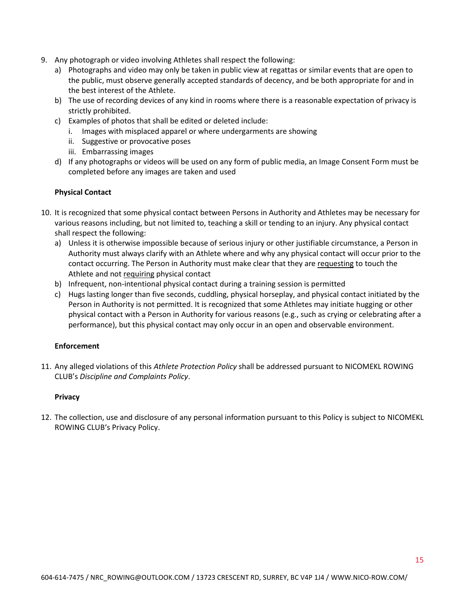- 9. Any photograph or video involving Athletes shall respect the following:
	- a) Photographs and video may only be taken in public view at regattas or similar events that are open to the public, must observe generally accepted standards of decency, and be both appropriate for and in the best interest of the Athlete.
	- b) The use of recording devices of any kind in rooms where there is a reasonable expectation of privacy is strictly prohibited.
	- c) Examples of photos that shall be edited or deleted include:
		- i. Images with misplaced apparel or where undergarments are showing
		- ii. Suggestive or provocative poses
		- iii. Embarrassing images
	- d) If any photographs or videos will be used on any form of public media, an Image Consent Form must be completed before any images are taken and used

### **Physical Contact**

- 10. It is recognized that some physical contact between Persons in Authority and Athletes may be necessary for various reasons including, but not limited to, teaching a skill or tending to an injury. Any physical contact shall respect the following:
	- a) Unless it is otherwise impossible because of serious injury or other justifiable circumstance, a Person in Authority must always clarify with an Athlete where and why any physical contact will occur prior to the contact occurring. The Person in Authority must make clear that they are requesting to touch the Athlete and not requiring physical contact
	- b) Infrequent, non-intentional physical contact during a training session is permitted
	- c) Hugs lasting longer than five seconds, cuddling, physical horseplay, and physical contact initiated by the Person in Authority is not permitted. It is recognized that some Athletes may initiate hugging or other physical contact with a Person in Authority for various reasons (e.g., such as crying or celebrating after a performance), but this physical contact may only occur in an open and observable environment.

### **Enforcement**

11. Any alleged violations of this *Athlete Protection Policy* shall be addressed pursuant to NICOMEKL ROWING CLUB's *Discipline and Complaints Policy*.

### **Privacy**

12. The collection, use and disclosure of any personal information pursuant to this Policy is subject to NICOMEKL ROWING CLUB's Privacy Policy.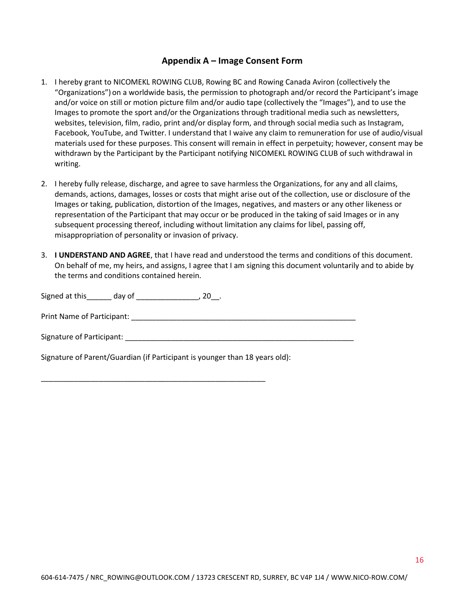# **Appendix A – Image Consent Form**

- 1. I hereby grant to NICOMEKL ROWING CLUB, Rowing BC and Rowing Canada Aviron (collectively the "Organizations") on a worldwide basis, the permission to photograph and/or record the Participant's image and/or voice on still or motion picture film and/or audio tape (collectively the "Images"), and to use the Images to promote the sport and/or the Organizations through traditional media such as newsletters, websites, television, film, radio, print and/or display form, and through social media such as Instagram, Facebook, YouTube, and Twitter. I understand that I waive any claim to remuneration for use of audio/visual materials used for these purposes. This consent will remain in effect in perpetuity; however, consent may be withdrawn by the Participant by the Participant notifying NICOMEKL ROWING CLUB of such withdrawal in writing.
- 2. I hereby fully release, discharge, and agree to save harmless the Organizations, for any and all claims, demands, actions, damages, losses or costs that might arise out of the collection, use or disclosure of the Images or taking, publication, distortion of the Images, negatives, and masters or any other likeness or representation of the Participant that may occur or be produced in the taking of said Images or in any subsequent processing thereof, including without limitation any claims for libel, passing off, misappropriation of personality or invasion of privacy.
- 3. **I UNDERSTAND AND AGREE**, that I have read and understood the terms and conditions of this document. On behalf of me, my heirs, and assigns, I agree that I am signing this document voluntarily and to abide by the terms and conditions contained herein.

Signed at this day of \_\_\_\_\_\_\_\_\_\_\_\_\_\_, 20\_\_.

Print Name of Participant: \_\_\_\_\_\_\_\_\_\_\_\_\_\_\_\_\_\_\_\_\_\_\_\_\_\_\_\_\_\_\_\_\_\_\_\_\_\_\_\_\_\_\_\_\_\_\_\_\_\_\_\_\_\_

Signature of Participant: \_\_\_\_\_\_\_\_\_\_\_\_\_\_\_\_\_\_\_\_\_\_\_\_\_\_\_\_\_\_\_\_\_\_\_\_\_\_\_\_\_\_\_\_\_\_\_\_\_\_\_\_\_\_\_

Signature of Parent/Guardian (if Participant is younger than 18 years old):

\_\_\_\_\_\_\_\_\_\_\_\_\_\_\_\_\_\_\_\_\_\_\_\_\_\_\_\_\_\_\_\_\_\_\_\_\_\_\_\_\_\_\_\_\_\_\_\_\_\_\_\_\_\_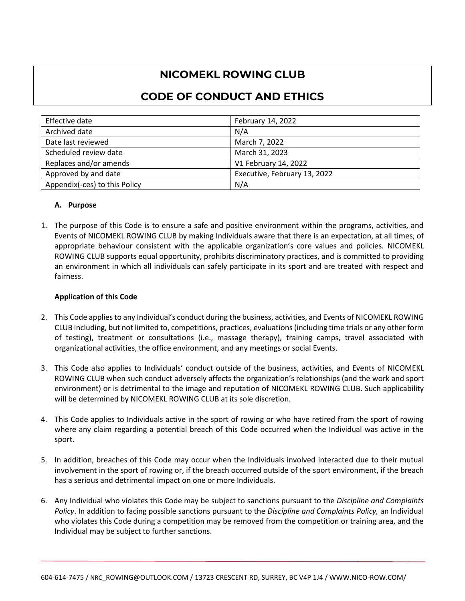# **NICOMEKL ROWING CLUB**

# **CODE OF CONDUCT AND ETHICS**

| Effective date                | February 14, 2022            |
|-------------------------------|------------------------------|
| Archived date                 | N/A                          |
| Date last reviewed            | March 7, 2022                |
| Scheduled review date         | March 31, 2023               |
| Replaces and/or amends        | V1 February 14, 2022         |
| Approved by and date          | Executive, February 13, 2022 |
| Appendix(-ces) to this Policy | N/A                          |

# **A. Purpose**

1. The purpose of this Code is to ensure a safe and positive environment within the programs, activities, and Events of NICOMEKL ROWING CLUB by making Individuals aware that there is an expectation, at all times, of appropriate behaviour consistent with the applicable organization's core values and policies. NICOMEKL ROWING CLUB supports equal opportunity, prohibits discriminatory practices, and is committed to providing an environment in which all individuals can safely participate in its sport and are treated with respect and fairness.

### **Application of this Code**

- 2. This Code applies to any Individual's conduct during the business, activities, and Events of NICOMEKL ROWING CLUB including, but not limited to, competitions, practices, evaluations (including time trials or any other form of testing), treatment or consultations (i.e., massage therapy), training camps, travel associated with organizational activities, the office environment, and any meetings or social Events.
- 3. This Code also applies to Individuals' conduct outside of the business, activities, and Events of NICOMEKL ROWING CLUB when such conduct adversely affects the organization's relationships (and the work and sport environment) or is detrimental to the image and reputation of NICOMEKL ROWING CLUB. Such applicability will be determined by NICOMEKL ROWING CLUB at its sole discretion.
- 4. This Code applies to Individuals active in the sport of rowing or who have retired from the sport of rowing where any claim regarding a potential breach of this Code occurred when the Individual was active in the sport.
- 5. In addition, breaches of this Code may occur when the Individuals involved interacted due to their mutual involvement in the sport of rowing or, if the breach occurred outside of the sport environment, if the breach has a serious and detrimental impact on one or more Individuals.
- 6. Any Individual who violates this Code may be subject to sanctions pursuant to the *Discipline and Complaints Policy*. In addition to facing possible sanctions pursuant to the *Discipline and Complaints Policy,* an Individual who violates this Code during a competition may be removed from the competition or training area, and the Individual may be subject to further sanctions.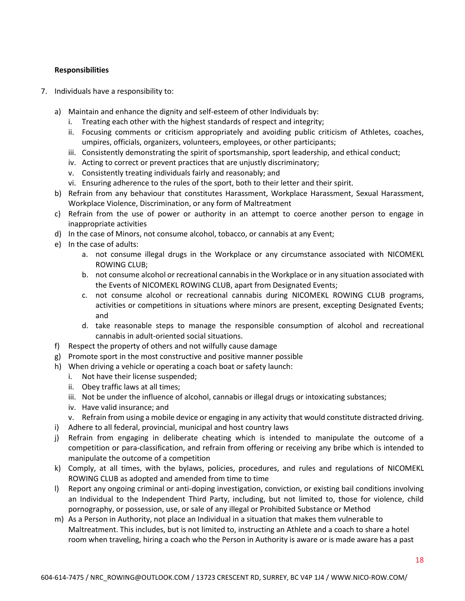### **Responsibilities**

- 7. Individuals have a responsibility to:
	- a) Maintain and enhance the dignity and self-esteem of other Individuals by:
		- i. Treating each other with the highest standards of respect and integrity;
		- ii. Focusing comments or criticism appropriately and avoiding public criticism of Athletes, coaches, umpires, officials, organizers, volunteers, employees, or other participants;
		- iii. Consistently demonstrating the spirit of sportsmanship, sport leadership, and ethical conduct;
		- iv. Acting to correct or prevent practices that are unjustly discriminatory;
		- v. Consistently treating individuals fairly and reasonably; and
		- vi. Ensuring adherence to the rules of the sport, both to their letter and their spirit.
	- b) Refrain from any behaviour that constitutes Harassment, Workplace Harassment, Sexual Harassment, Workplace Violence, Discrimination, or any form of Maltreatment
	- c) Refrain from the use of power or authority in an attempt to coerce another person to engage in inappropriate activities
	- d) In the case of Minors, not consume alcohol, tobacco, or cannabis at any Event;
	- e) In the case of adults:
		- a. not consume illegal drugs in the Workplace or any circumstance associated with NICOMEKL ROWING CLUB;
		- b. not consume alcohol or recreational cannabis in the Workplace or in any situation associated with the Events of NICOMEKL ROWING CLUB, apart from Designated Events;
		- c. not consume alcohol or recreational cannabis during NICOMEKL ROWING CLUB programs, activities or competitions in situations where minors are present, excepting Designated Events; and
		- d. take reasonable steps to manage the responsible consumption of alcohol and recreational cannabis in adult-oriented social situations.
	- f) Respect the property of others and not wilfully cause damage
	- g) Promote sport in the most constructive and positive manner possible
	- h) When driving a vehicle or operating a coach boat or safety launch:
		- i. Not have their license suspended;
		- ii. Obey traffic laws at all times;
		- iii. Not be under the influence of alcohol, cannabis or illegal drugs or intoxicating substances;
		- iv. Have valid insurance; and
		- v. Refrain from using a mobile device or engaging in any activity that would constitute distracted driving.
	- i) Adhere to all federal, provincial, municipal and host country laws
	- j) Refrain from engaging in deliberate cheating which is intended to manipulate the outcome of a competition or para-classification, and refrain from offering or receiving any bribe which is intended to manipulate the outcome of a competition
	- k) Comply, at all times, with the bylaws, policies, procedures, and rules and regulations of NICOMEKL ROWING CLUB as adopted and amended from time to time
	- l) Report any ongoing criminal or anti-doping investigation, conviction, or existing bail conditions involving an Individual to the Independent Third Party, including, but not limited to, those for violence, child pornography, or possession, use, or sale of any illegal or Prohibited Substance or Method
	- m) As a Person in Authority, not place an Individual in a situation that makes them vulnerable to Maltreatment. This includes, but is not limited to, instructing an Athlete and a coach to share a hotel room when traveling, hiring a coach who the Person in Authority is aware or is made aware has a past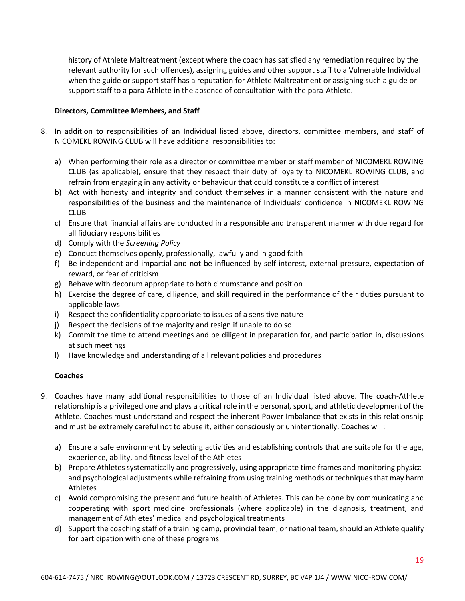history of Athlete Maltreatment (except where the coach has satisfied any remediation required by the relevant authority for such offences), assigning guides and other support staff to a Vulnerable Individual when the guide or support staff has a reputation for Athlete Maltreatment or assigning such a guide or support staff to a para-Athlete in the absence of consultation with the para-Athlete.

### **Directors, Committee Members, and Staff**

- 8. In addition to responsibilities of an Individual listed above, directors, committee members, and staff of NICOMEKL ROWING CLUB will have additional responsibilities to:
	- a) When performing their role as a director or committee member or staff member of NICOMEKL ROWING CLUB (as applicable), ensure that they respect their duty of loyalty to NICOMEKL ROWING CLUB, and refrain from engaging in any activity or behaviour that could constitute a conflict of interest
	- b) Act with honesty and integrity and conduct themselves in a manner consistent with the nature and responsibilities of the business and the maintenance of Individuals' confidence in NICOMEKL ROWING CLUB
	- c) Ensure that financial affairs are conducted in a responsible and transparent manner with due regard for all fiduciary responsibilities
	- d) Comply with the *Screening Policy*
	- e) Conduct themselves openly, professionally, lawfully and in good faith
	- f) Be independent and impartial and not be influenced by self-interest, external pressure, expectation of reward, or fear of criticism
	- g) Behave with decorum appropriate to both circumstance and position
	- h) Exercise the degree of care, diligence, and skill required in the performance of their duties pursuant to applicable laws
	- i) Respect the confidentiality appropriate to issues of a sensitive nature
	- j) Respect the decisions of the majority and resign if unable to do so
	- k) Commit the time to attend meetings and be diligent in preparation for, and participation in, discussions at such meetings
	- l) Have knowledge and understanding of all relevant policies and procedures

# **Coaches**

- 9. Coaches have many additional responsibilities to those of an Individual listed above. The coach-Athlete relationship is a privileged one and plays a critical role in the personal, sport, and athletic development of the Athlete. Coaches must understand and respect the inherent Power Imbalance that exists in this relationship and must be extremely careful not to abuse it, either consciously or unintentionally. Coaches will:
	- a) Ensure a safe environment by selecting activities and establishing controls that are suitable for the age, experience, ability, and fitness level of the Athletes
	- b) Prepare Athletes systematically and progressively, using appropriate time frames and monitoring physical and psychological adjustments while refraining from using training methods or techniques that may harm Athletes
	- c) Avoid compromising the present and future health of Athletes. This can be done by communicating and cooperating with sport medicine professionals (where applicable) in the diagnosis, treatment, and management of Athletes' medical and psychological treatments
	- d) Support the coaching staff of a training camp, provincial team, or national team, should an Athlete qualify for participation with one of these programs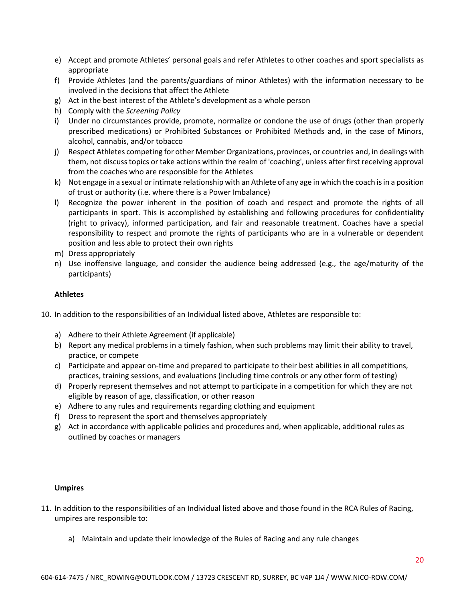- e) Accept and promote Athletes' personal goals and refer Athletes to other coaches and sport specialists as appropriate
- f) Provide Athletes (and the parents/guardians of minor Athletes) with the information necessary to be involved in the decisions that affect the Athlete
- g) Act in the best interest of the Athlete's development as a whole person
- h) Comply with the *Screening Policy*
- i) Under no circumstances provide, promote, normalize or condone the use of drugs (other than properly prescribed medications) or Prohibited Substances or Prohibited Methods and, in the case of Minors, alcohol, cannabis, and/or tobacco
- j) Respect Athletes competing for other Member Organizations, provinces, or countries and, in dealings with them, not discuss topics or take actions within the realm of 'coaching', unless after first receiving approval from the coaches who are responsible for the Athletes
- k) Not engage in a sexual or intimate relationship with an Athlete of any age in which the coach is in a position of trust or authority (i.e. where there is a Power Imbalance)
- l) Recognize the power inherent in the position of coach and respect and promote the rights of all participants in sport. This is accomplished by establishing and following procedures for confidentiality (right to privacy), informed participation, and fair and reasonable treatment. Coaches have a special responsibility to respect and promote the rights of participants who are in a vulnerable or dependent position and less able to protect their own rights
- m) Dress appropriately
- n) Use inoffensive language, and consider the audience being addressed (e.g., the age/maturity of the participants)

### **Athletes**

- 10. In addition to the responsibilities of an Individual listed above, Athletes are responsible to:
	- a) Adhere to their Athlete Agreement (if applicable)
	- b) Report any medical problems in a timely fashion, when such problems may limit their ability to travel, practice, or compete
	- c) Participate and appear on-time and prepared to participate to their best abilities in all competitions, practices, training sessions, and evaluations (including time controls or any other form of testing)
	- d) Properly represent themselves and not attempt to participate in a competition for which they are not eligible by reason of age, classification, or other reason
	- e) Adhere to any rules and requirements regarding clothing and equipment
	- f) Dress to represent the sport and themselves appropriately
	- g) Act in accordance with applicable policies and procedures and, when applicable, additional rules as outlined by coaches or managers

#### **Umpires**

- 11. In addition to the responsibilities of an Individual listed above and those found in the RCA Rules of Racing, umpires are responsible to:
	- a) Maintain and update their knowledge of the Rules of Racing and any rule changes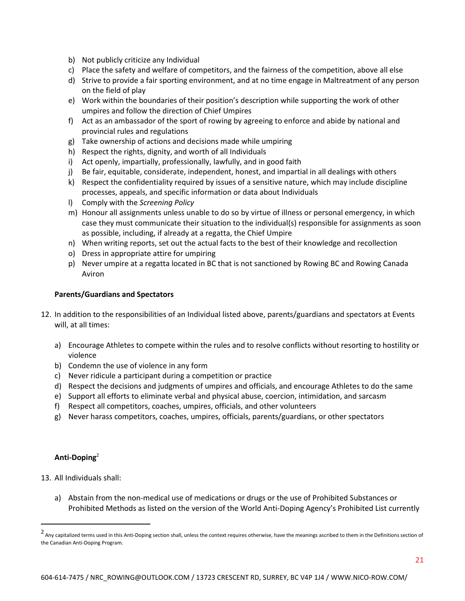- b) Not publicly criticize any Individual
- c) Place the safety and welfare of competitors, and the fairness of the competition, above all else
- d) Strive to provide a fair sporting environment, and at no time engage in Maltreatment of any person on the field of play
- e) Work within the boundaries of their position's description while supporting the work of other umpires and follow the direction of Chief Umpires
- f) Act as an ambassador of the sport of rowing by agreeing to enforce and abide by national and provincial rules and regulations
- g) Take ownership of actions and decisions made while umpiring
- h) Respect the rights, dignity, and worth of all Individuals
- i) Act openly, impartially, professionally, lawfully, and in good faith
- j) Be fair, equitable, considerate, independent, honest, and impartial in all dealings with others
- k) Respect the confidentiality required by issues of a sensitive nature, which may include discipline processes, appeals, and specific information or data about Individuals
- l) Comply with the *Screening Policy*
- m) Honour all assignments unless unable to do so by virtue of illness or personal emergency, in which case they must communicate their situation to the individual(s) responsible for assignments as soon as possible, including, if already at a regatta, the Chief Umpire
- n) When writing reports, set out the actual facts to the best of their knowledge and recollection
- o) Dress in appropriate attire for umpiring
- p) Never umpire at a regatta located in BC that is not sanctioned by Rowing BC and Rowing Canada Aviron

#### **Parents/Guardians and Spectators**

- 12. In addition to the responsibilities of an Individual listed above, parents/guardians and spectators at Events will, at all times:
	- a) Encourage Athletes to compete within the rules and to resolve conflicts without resorting to hostility or violence
	- b) Condemn the use of violence in any form
	- c) Never ridicule a participant during a competition or practice
	- d) Respect the decisions and judgments of umpires and officials, and encourage Athletes to do the same
	- e) Support all efforts to eliminate verbal and physical abuse, coercion, intimidation, and sarcasm
	- f) Respect all competitors, coaches, umpires, officials, and other volunteers
	- g) Never harass competitors, coaches, umpires, officials, parents/guardians, or other spectators

#### **Anti-Doping**<sup>2</sup>

- 13. All Individuals shall:
	- a) Abstain from the non-medical use of medications or drugs or the use of Prohibited Substances or Prohibited Methods as listed on the version of the World Anti-Doping Agency's Prohibited List currently

<sup>2</sup> Any capitalized terms used in this Anti-Doping section shall, unless the context requires otherwise, have the meanings ascribed to them in the Definitions section of the Canadian Anti-Doping Program.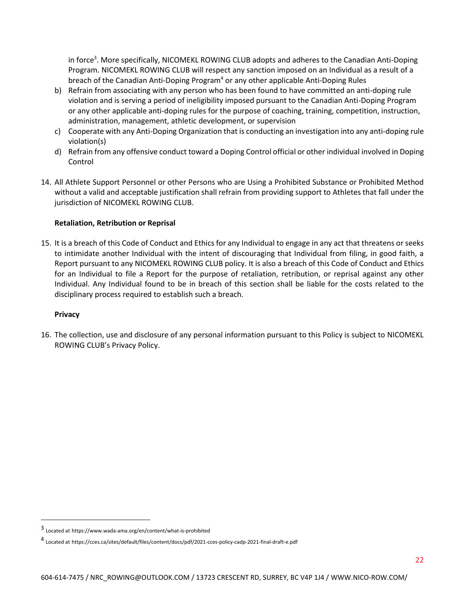in force<sup>3</sup>. More specifically, NICOMEKL ROWING CLUB adopts and adheres to the Canadian Anti-Doping Program. NICOMEKL ROWING CLUB will respect any sanction imposed on an Individual as a result of a breach of the Canadian Anti-Doping Program<sup>4</sup> or any other applicable Anti-Doping Rules

- b) Refrain from associating with any person who has been found to have committed an anti-doping rule violation and is serving a period of ineligibility imposed pursuant to the Canadian Anti-Doping Program or any other applicable anti-doping rules for the purpose of coaching, training, competition, instruction, administration, management, athletic development, or supervision
- c) Cooperate with any Anti-Doping Organization that is conducting an investigation into any anti-doping rule violation(s)
- d) Refrain from any offensive conduct toward a Doping Control official or other individual involved in Doping Control
- 14. All Athlete Support Personnel or other Persons who are Using a Prohibited Substance or Prohibited Method without a valid and acceptable justification shall refrain from providing support to Athletes that fall under the jurisdiction of NICOMEKL ROWING CLUB.

# **Retaliation, Retribution or Reprisal**

15. It is a breach of this Code of Conduct and Ethics for any Individual to engage in any act that threatens or seeks to intimidate another Individual with the intent of discouraging that Individual from filing, in good faith, a Report pursuant to any NICOMEKL ROWING CLUB policy. It is also a breach of this Code of Conduct and Ethics for an Individual to file a Report for the purpose of retaliation, retribution, or reprisal against any other Individual. Any Individual found to be in breach of this section shall be liable for the costs related to the disciplinary process required to establish such a breach.

### **Privacy**

16. The collection, use and disclosure of any personal information pursuant to this Policy is subject to NICOMEKL ROWING CLUB's Privacy Policy.

<sup>3</sup> Located at https://www.wada-ama.org/en/content/what-is-prohibited

<sup>4</sup> Located at https://cces.ca/sites/default/files/content/docs/pdf/2021-cces-policy-cadp-2021-final-draft-e.pdf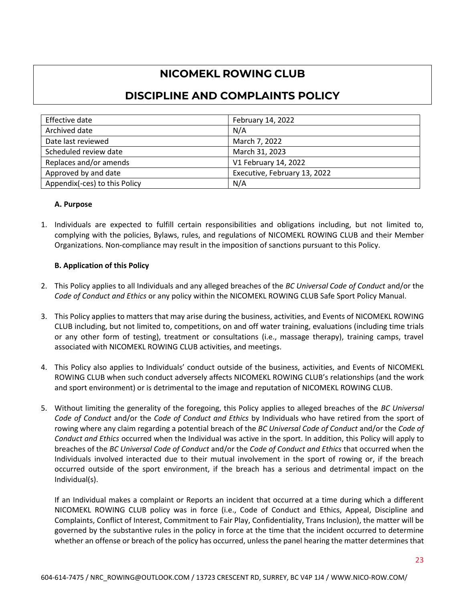# **NICOMEKL ROWING CLUB**

# **DISCIPLINE AND COMPLAINTS POLICY**

| Effective date                | February 14, 2022            |
|-------------------------------|------------------------------|
| Archived date                 | N/A                          |
| Date last reviewed            | March 7, 2022                |
| Scheduled review date         | March 31, 2023               |
| Replaces and/or amends        | V1 February 14, 2022         |
| Approved by and date          | Executive, February 13, 2022 |
| Appendix(-ces) to this Policy | N/A                          |

### **A. Purpose**

1. Individuals are expected to fulfill certain responsibilities and obligations including, but not limited to, complying with the policies, Bylaws, rules, and regulations of NICOMEKL ROWING CLUB and their Member Organizations. Non-compliance may result in the imposition of sanctions pursuant to this Policy.

### **B. Application of this Policy**

- 2. This Policy applies to all Individuals and any alleged breaches of the *BC Universal Code of Conduct* and/or the *Code of Conduct and Ethics* or any policy within the NICOMEKL ROWING CLUB Safe Sport Policy Manual.
- 3. This Policy applies to matters that may arise during the business, activities, and Events of NICOMEKL ROWING CLUB including, but not limited to, competitions, on and off water training, evaluations (including time trials or any other form of testing), treatment or consultations (i.e., massage therapy), training camps, travel associated with NICOMEKL ROWING CLUB activities, and meetings.
- 4. This Policy also applies to Individuals' conduct outside of the business, activities, and Events of NICOMEKL ROWING CLUB when such conduct adversely affects NICOMEKL ROWING CLUB's relationships (and the work and sport environment) or is detrimental to the image and reputation of NICOMEKL ROWING CLUB.
- 5. Without limiting the generality of the foregoing, this Policy applies to alleged breaches of the *BC Universal Code of Conduct* and/or the *Code of Conduct and Ethics* by Individuals who have retired from the sport of rowing where any claim regarding a potential breach of the *BC Universal Code of Conduct* and/or the *Code of Conduct and Ethics* occurred when the Individual was active in the sport. In addition, this Policy will apply to breaches of the *BC Universal Code of Conduct* and/or the *Code of Conduct and Ethics* that occurred when the Individuals involved interacted due to their mutual involvement in the sport of rowing or, if the breach occurred outside of the sport environment, if the breach has a serious and detrimental impact on the Individual(s).

If an Individual makes a complaint or Reports an incident that occurred at a time during which a different NICOMEKL ROWING CLUB policy was in force (i.e., Code of Conduct and Ethics, Appeal, Discipline and Complaints, Conflict of Interest, Commitment to Fair Play, Confidentiality, Trans Inclusion), the matter will be governed by the substantive rules in the policy in force at the time that the incident occurred to determine whether an offense or breach of the policy has occurred, unless the panel hearing the matter determines that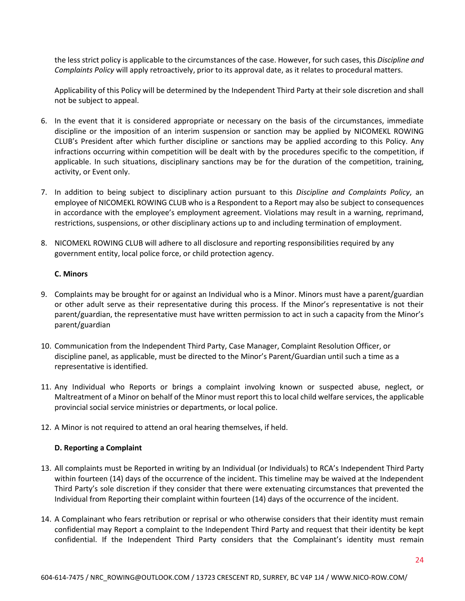the less strict policy is applicable to the circumstances of the case. However, for such cases, this *Discipline and Complaints Policy* will apply retroactively, prior to its approval date, as it relates to procedural matters.

Applicability of this Policy will be determined by the Independent Third Party at their sole discretion and shall not be subject to appeal.

- 6. In the event that it is considered appropriate or necessary on the basis of the circumstances, immediate discipline or the imposition of an interim suspension or sanction may be applied by NICOMEKL ROWING CLUB's President after which further discipline or sanctions may be applied according to this Policy. Any infractions occurring within competition will be dealt with by the procedures specific to the competition, if applicable. In such situations, disciplinary sanctions may be for the duration of the competition, training, activity, or Event only.
- 7. In addition to being subject to disciplinary action pursuant to this *Discipline and Complaints Policy*, an employee of NICOMEKL ROWING CLUB who is a Respondent to a Report may also be subject to consequences in accordance with the employee's employment agreement. Violations may result in a warning, reprimand, restrictions, suspensions, or other disciplinary actions up to and including termination of employment.
- 8. NICOMEKL ROWING CLUB will adhere to all disclosure and reporting responsibilities required by any government entity, local police force, or child protection agency.

#### **C. Minors**

- 9. Complaints may be brought for or against an Individual who is a Minor. Minors must have a parent/guardian or other adult serve as their representative during this process. If the Minor's representative is not their parent/guardian, the representative must have written permission to act in such a capacity from the Minor's parent/guardian
- 10. Communication from the Independent Third Party, Case Manager, Complaint Resolution Officer, or discipline panel, as applicable, must be directed to the Minor's Parent/Guardian until such a time as a representative is identified.
- 11. Any Individual who Reports or brings a complaint involving known or suspected abuse, neglect, or Maltreatment of a Minor on behalf of the Minor must report this to local child welfare services, the applicable provincial social service ministries or departments, or local police.
- 12. A Minor is not required to attend an oral hearing themselves, if held.

### **D. Reporting a Complaint**

- 13. All complaints must be Reported in writing by an Individual (or Individuals) to RCA's Independent Third Party within fourteen (14) days of the occurrence of the incident. This timeline may be waived at the Independent Third Party's sole discretion if they consider that there were extenuating circumstances that prevented the Individual from Reporting their complaint within fourteen (14) days of the occurrence of the incident.
- 14. A Complainant who fears retribution or reprisal or who otherwise considers that their identity must remain confidential may Report a complaint to the Independent Third Party and request that their identity be kept confidential. If the Independent Third Party considers that the Complainant's identity must remain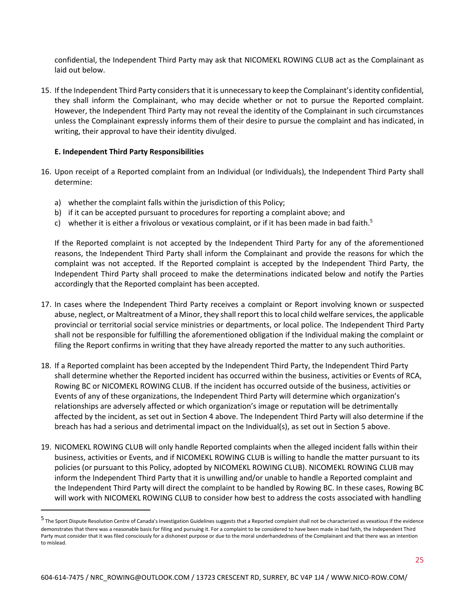confidential, the Independent Third Party may ask that NICOMEKL ROWING CLUB act as the Complainant as laid out below.

15. If the Independent Third Party considers that it is unnecessary to keep the Complainant's identity confidential, they shall inform the Complainant, who may decide whether or not to pursue the Reported complaint. However, the Independent Third Party may not reveal the identity of the Complainant in such circumstances unless the Complainant expressly informs them of their desire to pursue the complaint and has indicated, in writing, their approval to have their identity divulged.

#### **E. Independent Third Party Responsibilities**

- 16. Upon receipt of a Reported complaint from an Individual (or Individuals), the Independent Third Party shall determine:
	- a) whether the complaint falls within the jurisdiction of this Policy;
	- b) if it can be accepted pursuant to procedures for reporting a complaint above; and
	- c) whether it is either a frivolous or vexatious complaint, or if it has been made in bad faith.<sup>5</sup>

If the Reported complaint is not accepted by the Independent Third Party for any of the aforementioned reasons, the Independent Third Party shall inform the Complainant and provide the reasons for which the complaint was not accepted. If the Reported complaint is accepted by the Independent Third Party, the Independent Third Party shall proceed to make the determinations indicated below and notify the Parties accordingly that the Reported complaint has been accepted.

- 17. In cases where the Independent Third Party receives a complaint or Report involving known or suspected abuse, neglect, or Maltreatment of a Minor, they shall report this to local child welfare services, the applicable provincial or territorial social service ministries or departments, or local police. The Independent Third Party shall not be responsible for fulfilling the aforementioned obligation if the Individual making the complaint or filing the Report confirms in writing that they have already reported the matter to any such authorities.
- 18. If a Reported complaint has been accepted by the Independent Third Party, the Independent Third Party shall determine whether the Reported incident has occurred within the business, activities or Events of RCA, Rowing BC or NICOMEKL ROWING CLUB. If the incident has occurred outside of the business, activities or Events of any of these organizations, the Independent Third Party will determine which organization's relationships are adversely affected or which organization's image or reputation will be detrimentally affected by the incident, as set out in Section 4 above. The Independent Third Party will also determine if the breach has had a serious and detrimental impact on the Individual(s), as set out in Section 5 above.
- 19. NICOMEKL ROWING CLUB will only handle Reported complaints when the alleged incident falls within their business, activities or Events, and if NICOMEKL ROWING CLUB is willing to handle the matter pursuant to its policies (or pursuant to this Policy, adopted by NICOMEKL ROWING CLUB). NICOMEKL ROWING CLUB may inform the Independent Third Party that it is unwilling and/or unable to handle a Reported complaint and the Independent Third Party will direct the complaint to be handled by Rowing BC. In these cases, Rowing BC will work with NICOMEKL ROWING CLUB to consider how best to address the costs associated with handling

<sup>5</sup> The Sport Dispute Resolution Centre of Canada's Investigation Guidelines suggests that a Reported complaint shall not be characterized as vexatious if the evidence demonstrates that there was a reasonable basis for filing and pursuing it. For a complaint to be considered to have been made in bad faith, the Independent Third Party must consider that it was filed consciously for a dishonest purpose or due to the moral underhandedness of the Complainant and that there was an intention to mislead.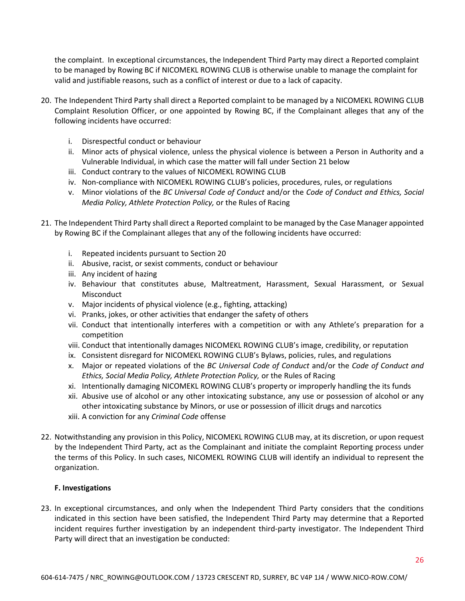the complaint. In exceptional circumstances, the Independent Third Party may direct a Reported complaint to be managed by Rowing BC if NICOMEKL ROWING CLUB is otherwise unable to manage the complaint for valid and justifiable reasons, such as a conflict of interest or due to a lack of capacity.

- 20. The Independent Third Party shall direct a Reported complaint to be managed by a NICOMEKL ROWING CLUB Complaint Resolution Officer, or one appointed by Rowing BC, if the Complainant alleges that any of the following incidents have occurred:
	- i. Disrespectful conduct or behaviour
	- ii. Minor acts of physical violence, unless the physical violence is between a Person in Authority and a Vulnerable Individual, in which case the matter will fall under Section 21 below
	- iii. Conduct contrary to the values of NICOMEKL ROWING CLUB
	- iv. Non-compliance with NICOMEKL ROWING CLUB's policies, procedures, rules, or regulations
	- v. Minor violations of the *BC Universal Code of Conduct* and/or the *Code of Conduct and Ethics, Social Media Policy, Athlete Protection Policy,* or the Rules of Racing
- 21. The Independent Third Party shall direct a Reported complaint to be managed by the Case Manager appointed by Rowing BC if the Complainant alleges that any of the following incidents have occurred:
	- i. Repeated incidents pursuant to Section 20
	- ii. Abusive, racist, or sexist comments, conduct or behaviour
	- iii. Any incident of hazing
	- iv. Behaviour that constitutes abuse, Maltreatment, Harassment, Sexual Harassment, or Sexual Misconduct
	- v. Major incidents of physical violence (e.g., fighting, attacking)
	- vi. Pranks, jokes, or other activities that endanger the safety of others
	- vii. Conduct that intentionally interferes with a competition or with any Athlete's preparation for a competition
	- viii. Conduct that intentionally damages NICOMEKL ROWING CLUB's image, credibility, or reputation
	- ix. Consistent disregard for NICOMEKL ROWING CLUB's Bylaws, policies, rules, and regulations
	- x. Major or repeated violations of the *BC Universal Code of Conduct* and/or the *Code of Conduct and Ethics, Social Media Policy, Athlete Protection Policy,* or the Rules of Racing
	- xi. Intentionally damaging NICOMEKL ROWING CLUB's property or improperly handling the its funds
	- xii. Abusive use of alcohol or any other intoxicating substance, any use or possession of alcohol or any other intoxicating substance by Minors, or use or possession of illicit drugs and narcotics
	- xiii. A conviction for any *Criminal Code* offense
- 22. Notwithstanding any provision in this Policy, NICOMEKL ROWING CLUB may, at its discretion, or upon request by the Independent Third Party, act as the Complainant and initiate the complaint Reporting process under the terms of this Policy. In such cases, NICOMEKL ROWING CLUB will identify an individual to represent the organization.

### **F. Investigations**

23. In exceptional circumstances, and only when the Independent Third Party considers that the conditions indicated in this section have been satisfied, the Independent Third Party may determine that a Reported incident requires further investigation by an independent third-party investigator. The Independent Third Party will direct that an investigation be conducted: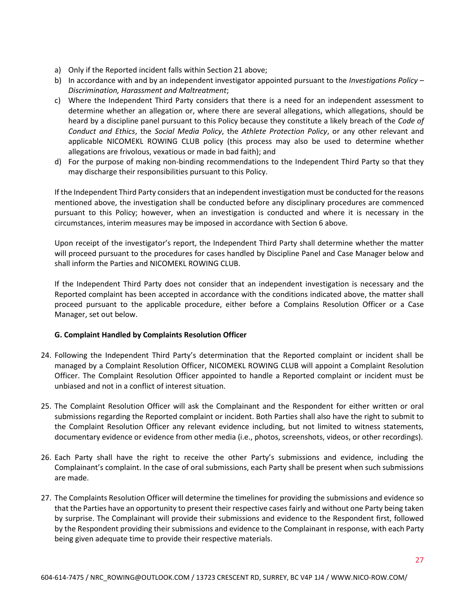- a) Only if the Reported incident falls within Section 21 above;
- b) In accordance with and by an independent investigator appointed pursuant to the *Investigations Policy – Discrimination, Harassment and Maltreatment*;
- c) Where the Independent Third Party considers that there is a need for an independent assessment to determine whether an allegation or, where there are several allegations, which allegations, should be heard by a discipline panel pursuant to this Policy because they constitute a likely breach of the *Code of Conduct and Ethics*, the *Social Media Policy*, the *Athlete Protection Policy*, or any other relevant and applicable NICOMEKL ROWING CLUB policy (this process may also be used to determine whether allegations are frivolous, vexatious or made in bad faith); and
- d) For the purpose of making non-binding recommendations to the Independent Third Party so that they may discharge their responsibilities pursuant to this Policy.

If the Independent Third Party considers that an independent investigation must be conducted for the reasons mentioned above, the investigation shall be conducted before any disciplinary procedures are commenced pursuant to this Policy; however, when an investigation is conducted and where it is necessary in the circumstances, interim measures may be imposed in accordance with Section 6 above.

Upon receipt of the investigator's report, the Independent Third Party shall determine whether the matter will proceed pursuant to the procedures for cases handled by Discipline Panel and Case Manager below and shall inform the Parties and NICOMEKL ROWING CLUB.

If the Independent Third Party does not consider that an independent investigation is necessary and the Reported complaint has been accepted in accordance with the conditions indicated above, the matter shall proceed pursuant to the applicable procedure, either before a Complains Resolution Officer or a Case Manager, set out below.

### **G. Complaint Handled by Complaints Resolution Officer**

- 24. Following the Independent Third Party's determination that the Reported complaint or incident shall be managed by a Complaint Resolution Officer, NICOMEKL ROWING CLUB will appoint a Complaint Resolution Officer. The Complaint Resolution Officer appointed to handle a Reported complaint or incident must be unbiased and not in a conflict of interest situation.
- 25. The Complaint Resolution Officer will ask the Complainant and the Respondent for either written or oral submissions regarding the Reported complaint or incident. Both Parties shall also have the right to submit to the Complaint Resolution Officer any relevant evidence including, but not limited to witness statements, documentary evidence or evidence from other media (i.e., photos, screenshots, videos, or other recordings).
- 26. Each Party shall have the right to receive the other Party's submissions and evidence, including the Complainant's complaint. In the case of oral submissions, each Party shall be present when such submissions are made.
- 27. The Complaints Resolution Officer will determine the timelines for providing the submissions and evidence so that the Parties have an opportunity to present their respective cases fairly and without one Party being taken by surprise. The Complainant will provide their submissions and evidence to the Respondent first, followed by the Respondent providing their submissions and evidence to the Complainant in response, with each Party being given adequate time to provide their respective materials.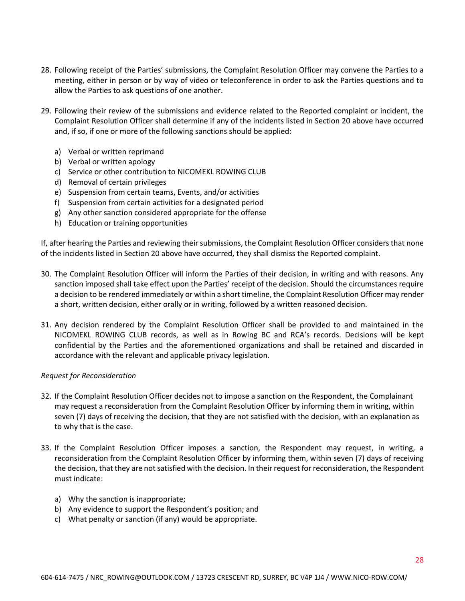- 28. Following receipt of the Parties' submissions, the Complaint Resolution Officer may convene the Parties to a meeting, either in person or by way of video or teleconference in order to ask the Parties questions and to allow the Parties to ask questions of one another.
- 29. Following their review of the submissions and evidence related to the Reported complaint or incident, the Complaint Resolution Officer shall determine if any of the incidents listed in Section 20 above have occurred and, if so, if one or more of the following sanctions should be applied:
	- a) Verbal or written reprimand
	- b) Verbal or written apology
	- c) Service or other contribution to NICOMEKL ROWING CLUB
	- d) Removal of certain privileges
	- e) Suspension from certain teams, Events, and/or activities
	- f) Suspension from certain activities for a designated period
	- g) Any other sanction considered appropriate for the offense
	- h) Education or training opportunities

If, after hearing the Parties and reviewing their submissions, the Complaint Resolution Officer considers that none of the incidents listed in Section 20 above have occurred, they shall dismiss the Reported complaint.

- 30. The Complaint Resolution Officer will inform the Parties of their decision, in writing and with reasons. Any sanction imposed shall take effect upon the Parties' receipt of the decision. Should the circumstances require a decision to be rendered immediately or within a short timeline, the Complaint Resolution Officer may render a short, written decision, either orally or in writing, followed by a written reasoned decision.
- 31. Any decision rendered by the Complaint Resolution Officer shall be provided to and maintained in the NICOMEKL ROWING CLUB records, as well as in Rowing BC and RCA's records. Decisions will be kept confidential by the Parties and the aforementioned organizations and shall be retained and discarded in accordance with the relevant and applicable privacy legislation.

#### *Request for Reconsideration*

- 32. If the Complaint Resolution Officer decides not to impose a sanction on the Respondent, the Complainant may request a reconsideration from the Complaint Resolution Officer by informing them in writing, within seven (7) days of receiving the decision, that they are not satisfied with the decision, with an explanation as to why that is the case.
- 33. If the Complaint Resolution Officer imposes a sanction, the Respondent may request, in writing, a reconsideration from the Complaint Resolution Officer by informing them, within seven (7) days of receiving the decision, that they are not satisfied with the decision. In their request for reconsideration, the Respondent must indicate:
	- a) Why the sanction is inappropriate;
	- b) Any evidence to support the Respondent's position; and
	- c) What penalty or sanction (if any) would be appropriate.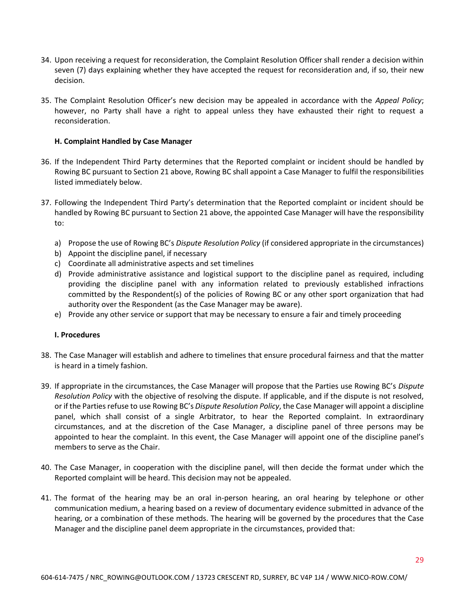- 34. Upon receiving a request for reconsideration, the Complaint Resolution Officer shall render a decision within seven (7) days explaining whether they have accepted the request for reconsideration and, if so, their new decision.
- 35. The Complaint Resolution Officer's new decision may be appealed in accordance with the *Appeal Policy*; however, no Party shall have a right to appeal unless they have exhausted their right to request a reconsideration.

#### **H. Complaint Handled by Case Manager**

- 36. If the Independent Third Party determines that the Reported complaint or incident should be handled by Rowing BC pursuant to Section 21 above, Rowing BC shall appoint a Case Manager to fulfil the responsibilities listed immediately below.
- 37. Following the Independent Third Party's determination that the Reported complaint or incident should be handled by Rowing BC pursuant to Section 21 above, the appointed Case Manager will have the responsibility to:
	- a) Propose the use of Rowing BC's *Dispute Resolution Policy* (if considered appropriate in the circumstances)
	- b) Appoint the discipline panel, if necessary
	- c) Coordinate all administrative aspects and set timelines
	- d) Provide administrative assistance and logistical support to the discipline panel as required, including providing the discipline panel with any information related to previously established infractions committed by the Respondent(s) of the policies of Rowing BC or any other sport organization that had authority over the Respondent (as the Case Manager may be aware).
	- e) Provide any other service or support that may be necessary to ensure a fair and timely proceeding

### **I. Procedures**

- 38. The Case Manager will establish and adhere to timelines that ensure procedural fairness and that the matter is heard in a timely fashion.
- 39. If appropriate in the circumstances, the Case Manager will propose that the Parties use Rowing BC's *Dispute Resolution Policy* with the objective of resolving the dispute. If applicable, and if the dispute is not resolved, or if the Parties refuse to use Rowing BC's *Dispute Resolution Policy*, the Case Manager will appoint a discipline panel, which shall consist of a single Arbitrator, to hear the Reported complaint. In extraordinary circumstances, and at the discretion of the Case Manager, a discipline panel of three persons may be appointed to hear the complaint. In this event, the Case Manager will appoint one of the discipline panel's members to serve as the Chair.
- 40. The Case Manager, in cooperation with the discipline panel, will then decide the format under which the Reported complaint will be heard. This decision may not be appealed.
- 41. The format of the hearing may be an oral in-person hearing, an oral hearing by telephone or other communication medium, a hearing based on a review of documentary evidence submitted in advance of the hearing, or a combination of these methods. The hearing will be governed by the procedures that the Case Manager and the discipline panel deem appropriate in the circumstances, provided that: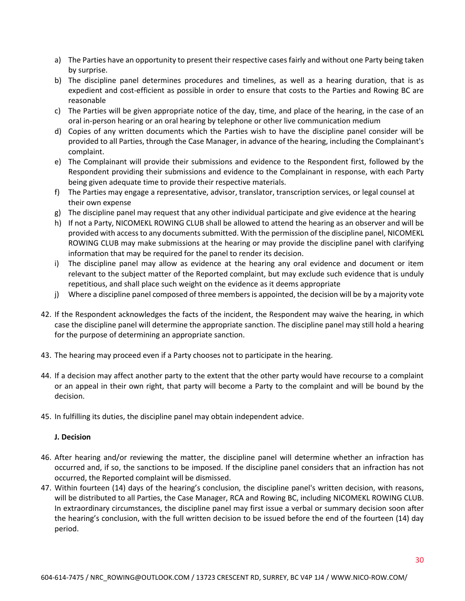- a) The Parties have an opportunity to present their respective cases fairly and without one Party being taken by surprise.
- b) The discipline panel determines procedures and timelines, as well as a hearing duration, that is as expedient and cost-efficient as possible in order to ensure that costs to the Parties and Rowing BC are reasonable
- c) The Parties will be given appropriate notice of the day, time, and place of the hearing, in the case of an oral in-person hearing or an oral hearing by telephone or other live communication medium
- d) Copies of any written documents which the Parties wish to have the discipline panel consider will be provided to all Parties, through the Case Manager, in advance of the hearing, including the Complainant's complaint.
- e) The Complainant will provide their submissions and evidence to the Respondent first, followed by the Respondent providing their submissions and evidence to the Complainant in response, with each Party being given adequate time to provide their respective materials.
- f) The Parties may engage a representative, advisor, translator, transcription services, or legal counsel at their own expense
- g) The discipline panel may request that any other individual participate and give evidence at the hearing
- h) If not a Party, NICOMEKL ROWING CLUB shall be allowed to attend the hearing as an observer and will be provided with access to any documents submitted. With the permission of the discipline panel, NICOMEKL ROWING CLUB may make submissions at the hearing or may provide the discipline panel with clarifying information that may be required for the panel to render its decision.
- i) The discipline panel may allow as evidence at the hearing any oral evidence and document or item relevant to the subject matter of the Reported complaint, but may exclude such evidence that is unduly repetitious, and shall place such weight on the evidence as it deems appropriate
- j) Where a discipline panel composed of three members is appointed, the decision will be by a majority vote
- 42. If the Respondent acknowledges the facts of the incident, the Respondent may waive the hearing, in which case the discipline panel will determine the appropriate sanction. The discipline panel may still hold a hearing for the purpose of determining an appropriate sanction.
- 43. The hearing may proceed even if a Party chooses not to participate in the hearing.
- 44. If a decision may affect another party to the extent that the other party would have recourse to a complaint or an appeal in their own right, that party will become a Party to the complaint and will be bound by the decision.
- 45. In fulfilling its duties, the discipline panel may obtain independent advice.

# **J. Decision**

- 46. After hearing and/or reviewing the matter, the discipline panel will determine whether an infraction has occurred and, if so, the sanctions to be imposed. If the discipline panel considers that an infraction has not occurred, the Reported complaint will be dismissed.
- 47. Within fourteen (14) days of the hearing's conclusion, the discipline panel's written decision, with reasons, will be distributed to all Parties, the Case Manager, RCA and Rowing BC, including NICOMEKL ROWING CLUB. In extraordinary circumstances, the discipline panel may first issue a verbal or summary decision soon after the hearing's conclusion, with the full written decision to be issued before the end of the fourteen (14) day period.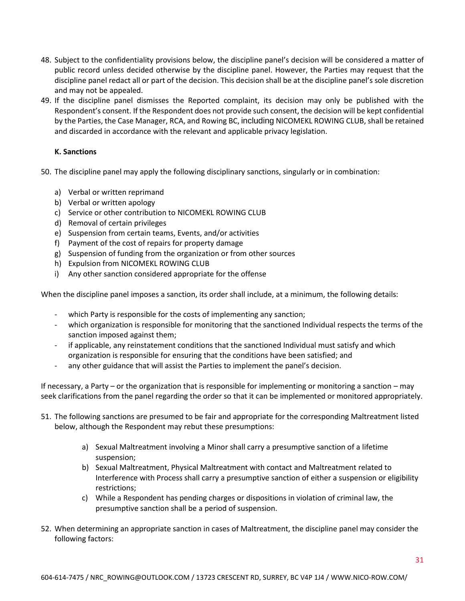- 48. Subject to the confidentiality provisions below, the discipline panel's decision will be considered a matter of public record unless decided otherwise by the discipline panel. However, the Parties may request that the discipline panel redact all or part of the decision. This decision shall be at the discipline panel's sole discretion and may not be appealed.
- 49. If the discipline panel dismisses the Reported complaint, its decision may only be published with the Respondent's consent. If the Respondent does not provide such consent, the decision will be kept confidential by the Parties, the Case Manager, RCA, and Rowing BC, including NICOMEKL ROWING CLUB, shall be retained and discarded in accordance with the relevant and applicable privacy legislation.

# **K. Sanctions**

- 50. The discipline panel may apply the following disciplinary sanctions, singularly or in combination:
	- a) Verbal or written reprimand
	- b) Verbal or written apology
	- c) Service or other contribution to NICOMEKL ROWING CLUB
	- d) Removal of certain privileges
	- e) Suspension from certain teams, Events, and/or activities
	- f) Payment of the cost of repairs for property damage
	- g) Suspension of funding from the organization or from other sources
	- h) Expulsion from NICOMEKL ROWING CLUB
	- i) Any other sanction considered appropriate for the offense

When the discipline panel imposes a sanction, its order shall include, at a minimum, the following details:

- which Party is responsible for the costs of implementing any sanction;
- which organization is responsible for monitoring that the sanctioned Individual respects the terms of the sanction imposed against them;
- if applicable, any reinstatement conditions that the sanctioned Individual must satisfy and which organization is responsible for ensuring that the conditions have been satisfied; and
- any other guidance that will assist the Parties to implement the panel's decision.

If necessary, a Party – or the organization that is responsible for implementing or monitoring a sanction – may seek clarifications from the panel regarding the order so that it can be implemented or monitored appropriately.

- 51. The following sanctions are presumed to be fair and appropriate for the corresponding Maltreatment listed below, although the Respondent may rebut these presumptions:
	- a) Sexual Maltreatment involving a Minor shall carry a presumptive sanction of a lifetime suspension;
	- b) Sexual Maltreatment, Physical Maltreatment with contact and Maltreatment related to Interference with Process shall carry a presumptive sanction of either a suspension or eligibility restrictions;
	- c) While a Respondent has pending charges or dispositions in violation of criminal law, the presumptive sanction shall be a period of suspension.
- 52. When determining an appropriate sanction in cases of Maltreatment, the discipline panel may consider the following factors: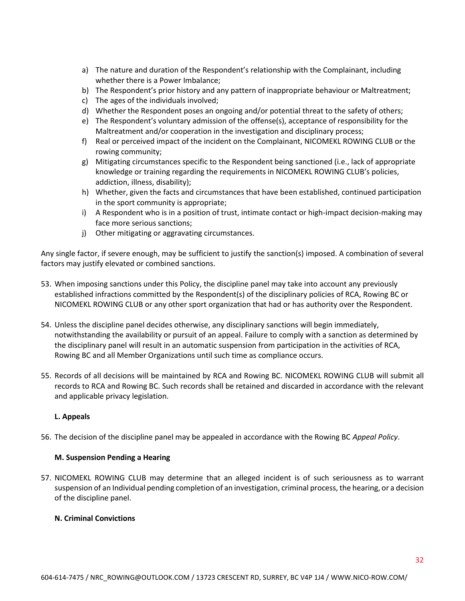- a) The nature and duration of the Respondent's relationship with the Complainant, including whether there is a Power Imbalance;
- b) The Respondent's prior history and any pattern of inappropriate behaviour or Maltreatment;
- c) The ages of the individuals involved;
- d) Whether the Respondent poses an ongoing and/or potential threat to the safety of others;
- e) The Respondent's voluntary admission of the offense(s), acceptance of responsibility for the Maltreatment and/or cooperation in the investigation and disciplinary process;
- f) Real or perceived impact of the incident on the Complainant, NICOMEKL ROWING CLUB or the rowing community;
- g) Mitigating circumstances specific to the Respondent being sanctioned (i.e., lack of appropriate knowledge or training regarding the requirements in NICOMEKL ROWING CLUB's policies, addiction, illness, disability);
- h) Whether, given the facts and circumstances that have been established, continued participation in the sport community is appropriate;
- i) A Respondent who is in a position of trust, intimate contact or high-impact decision-making may face more serious sanctions;
- j) Other mitigating or aggravating circumstances.

Any single factor, if severe enough, may be sufficient to justify the sanction(s) imposed. A combination of several factors may justify elevated or combined sanctions.

- 53. When imposing sanctions under this Policy, the discipline panel may take into account any previously established infractions committed by the Respondent(s) of the disciplinary policies of RCA, Rowing BC or NICOMEKL ROWING CLUB or any other sport organization that had or has authority over the Respondent.
- 54. Unless the discipline panel decides otherwise, any disciplinary sanctions will begin immediately, notwithstanding the availability or pursuit of an appeal. Failure to comply with a sanction as determined by the disciplinary panel will result in an automatic suspension from participation in the activities of RCA, Rowing BC and all Member Organizations until such time as compliance occurs.
- 55. Records of all decisions will be maintained by RCA and Rowing BC. NICOMEKL ROWING CLUB will submit all records to RCA and Rowing BC. Such records shall be retained and discarded in accordance with the relevant and applicable privacy legislation.

### **L. Appeals**

56. The decision of the discipline panel may be appealed in accordance with the Rowing BC *Appeal Policy*.

### **M. Suspension Pending a Hearing**

57. NICOMEKL ROWING CLUB may determine that an alleged incident is of such seriousness as to warrant suspension of an Individual pending completion of an investigation, criminal process, the hearing, or a decision of the discipline panel.

### **N. Criminal Convictions**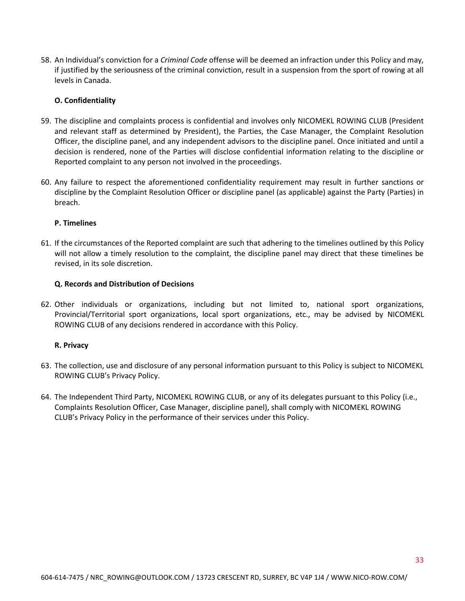58. An Individual's conviction for a *Criminal Code* offense will be deemed an infraction under this Policy and may, if justified by the seriousness of the criminal conviction, result in a suspension from the sport of rowing at all levels in Canada.

#### **O. Confidentiality**

- 59. The discipline and complaints process is confidential and involves only NICOMEKL ROWING CLUB (President and relevant staff as determined by President), the Parties, the Case Manager, the Complaint Resolution Officer, the discipline panel, and any independent advisors to the discipline panel. Once initiated and until a decision is rendered, none of the Parties will disclose confidential information relating to the discipline or Reported complaint to any person not involved in the proceedings.
- 60. Any failure to respect the aforementioned confidentiality requirement may result in further sanctions or discipline by the Complaint Resolution Officer or discipline panel (as applicable) against the Party (Parties) in breach.

#### **P. Timelines**

61. If the circumstances of the Reported complaint are such that adhering to the timelines outlined by this Policy will not allow a timely resolution to the complaint, the discipline panel may direct that these timelines be revised, in its sole discretion.

#### **Q. Records and Distribution of Decisions**

62. Other individuals or organizations, including but not limited to, national sport organizations, Provincial/Territorial sport organizations, local sport organizations, etc., may be advised by NICOMEKL ROWING CLUB of any decisions rendered in accordance with this Policy.

### **R. Privacy**

- 63. The collection, use and disclosure of any personal information pursuant to this Policy is subject to NICOMEKL ROWING CLUB's Privacy Policy.
- 64. The Independent Third Party, NICOMEKL ROWING CLUB, or any of its delegates pursuant to this Policy (i.e., Complaints Resolution Officer, Case Manager, discipline panel), shall comply with NICOMEKL ROWING CLUB's Privacy Policy in the performance of their services under this Policy.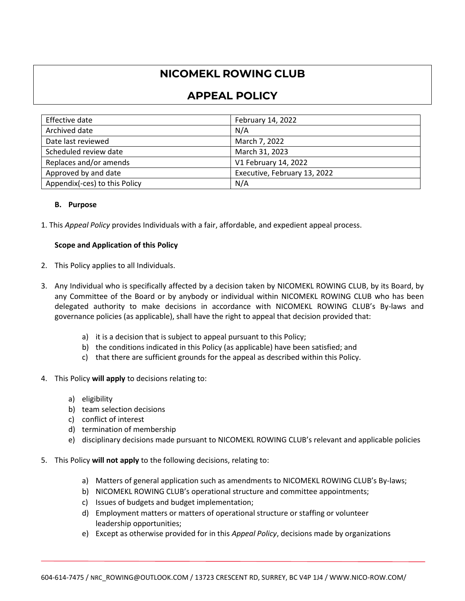# **NICOMEKL ROWING CLUB**

# **APPEAL POLICY**

| Effective date                | February 14, 2022            |
|-------------------------------|------------------------------|
| Archived date                 | N/A                          |
| Date last reviewed            | March 7, 2022                |
| Scheduled review date         | March 31, 2023               |
| Replaces and/or amends        | V1 February 14, 2022         |
| Approved by and date          | Executive, February 13, 2022 |
| Appendix(-ces) to this Policy | N/A                          |

# **B. Purpose**

1. This *Appeal Policy* provides Individuals with a fair, affordable, and expedient appeal process.

### **Scope and Application of this Policy**

- 2. This Policy applies to all Individuals.
- 3. Any Individual who is specifically affected by a decision taken by NICOMEKL ROWING CLUB, by its Board, by any Committee of the Board or by anybody or individual within NICOMEKL ROWING CLUB who has been delegated authority to make decisions in accordance with NICOMEKL ROWING CLUB's By-laws and governance policies (as applicable), shall have the right to appeal that decision provided that:
	- a) it is a decision that is subject to appeal pursuant to this Policy;
	- b) the conditions indicated in this Policy (as applicable) have been satisfied; and
	- c) that there are sufficient grounds for the appeal as described within this Policy.
- 4. This Policy **will apply** to decisions relating to:
	- a) eligibility
	- b) team selection decisions
	- c) conflict of interest
	- d) termination of membership
	- e) disciplinary decisions made pursuant to NICOMEKL ROWING CLUB's relevant and applicable policies
- 5. This Policy **will not apply** to the following decisions, relating to:
	- a) Matters of general application such as amendments to NICOMEKL ROWING CLUB's By-laws;
	- b) NICOMEKL ROWING CLUB's operational structure and committee appointments;
	- c) Issues of budgets and budget implementation;
	- d) Employment matters or matters of operational structure or staffing or volunteer leadership opportunities;
	- e) Except as otherwise provided for in this *Appeal Policy*, decisions made by organizations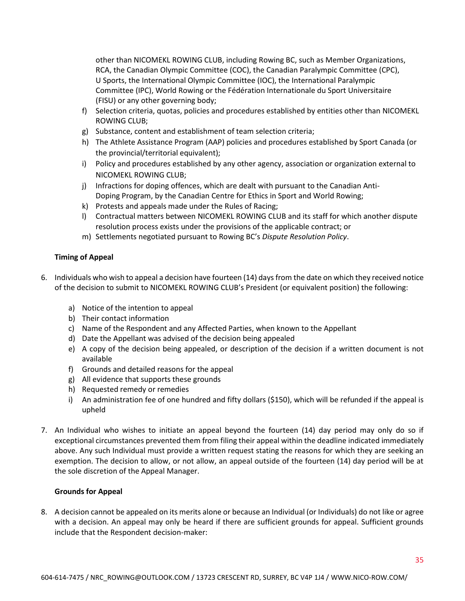other than NICOMEKL ROWING CLUB, including Rowing BC, such as Member Organizations, RCA, the Canadian Olympic Committee (COC), the Canadian Paralympic Committee (CPC), U Sports, the International Olympic Committee (IOC), the International Paralympic Committee (IPC), World Rowing or the Fédération Internationale du Sport Universitaire (FISU) or any other governing body;

- f) Selection criteria, quotas, policies and procedures established by entities other than NICOMEKL ROWING CLUB;
- g) Substance, content and establishment of team selection criteria;
- h) The Athlete Assistance Program (AAP) policies and procedures established by Sport Canada (or the provincial/territorial equivalent);
- i) Policy and procedures established by any other agency, association or organization external to NICOMEKL ROWING CLUB;
- j) Infractions for doping offences, which are dealt with pursuant to the Canadian Anti-Doping Program, by the Canadian Centre for Ethics in Sport and World Rowing;
- k) Protests and appeals made under the Rules of Racing;
- l) Contractual matters between NICOMEKL ROWING CLUB and its staff for which another dispute resolution process exists under the provisions of the applicable contract; or
- m) Settlements negotiated pursuant to Rowing BC's *Dispute Resolution Policy*.

# **Timing of Appeal**

- 6. Individuals who wish to appeal a decision have fourteen (14) days from the date on which they received notice of the decision to submit to NICOMEKL ROWING CLUB's President (or equivalent position) the following:
	- a) Notice of the intention to appeal
	- b) Their contact information
	- c) Name of the Respondent and any Affected Parties, when known to the Appellant
	- d) Date the Appellant was advised of the decision being appealed
	- e) A copy of the decision being appealed, or description of the decision if a written document is not available
	- f) Grounds and detailed reasons for the appeal
	- g) All evidence that supports these grounds
	- h) Requested remedy or remedies
	- i) An administration fee of one hundred and fifty dollars (\$150), which will be refunded if the appeal is upheld
- 7. An Individual who wishes to initiate an appeal beyond the fourteen (14) day period may only do so if exceptional circumstances prevented them from filing their appeal within the deadline indicated immediately above. Any such Individual must provide a written request stating the reasons for which they are seeking an exemption. The decision to allow, or not allow, an appeal outside of the fourteen (14) day period will be at the sole discretion of the Appeal Manager.

### **Grounds for Appeal**

8. A decision cannot be appealed on its merits alone or because an Individual (or Individuals) do not like or agree with a decision. An appeal may only be heard if there are sufficient grounds for appeal. Sufficient grounds include that the Respondent decision-maker: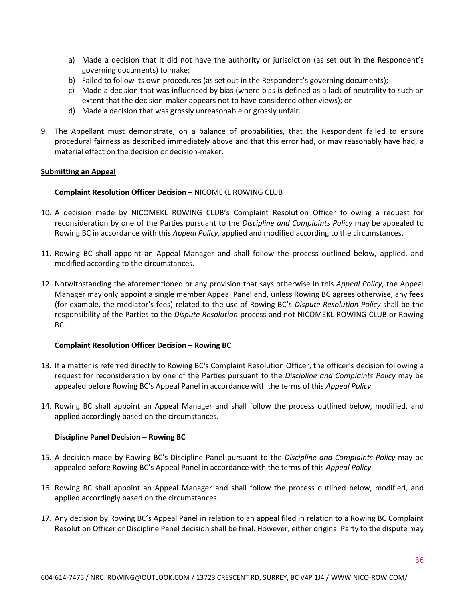- a) Made a decision that it did not have the authority or jurisdiction (as set out in the Respondent's governing documents) to make;
- b) Failed to follow its own procedures (as set out in the Respondent's governing documents);
- c) Made a decision that was influenced by bias (where bias is defined as a lack of neutrality to such an extent that the decision-maker appears not to have considered other views); or
- d) Made a decision that was grossly unreasonable or grossly unfair.
- 9. The Appellant must demonstrate, on a balance of probabilities, that the Respondent failed to ensure procedural fairness as described immediately above and that this error had, or may reasonably have had, a material effect on the decision or decision-maker.

#### **Submitting an Appeal**

#### **Complaint Resolution Officer Decision - NICOMEKL ROWING CLUB**

- 10. A decision made by NICOMEKL ROWING CLUB's Complaint Resolution Officer following a request for reconsideration by one of the Parties pursuant to the *Discipline and Complaints Policy* may be appealed to Rowing BC in accordance with this *Appeal Policy*, applied and modified according to the circumstances.
- 11. Rowing BC shall appoint an Appeal Manager and shall follow the process outlined below, applied, and modified according to the circumstances.
- 12. Notwithstanding the aforementioned or any provision that says otherwise in this *Appeal Policy*, the Appeal Manager may only appoint a single member Appeal Panel and, unless Rowing BC agrees otherwise, any fees (for example, the mediator's fees) related to the use of Rowing BC's *Dispute Resolution Policy* shall be the responsibility of the Parties to the *Dispute Resolution* process and not NICOMEKL ROWING CLUB or Rowing BC.

#### **Complaint Resolution Officer Decision – Rowing BC**

- 13. If a matter is referred directly to Rowing BC's Complaint Resolution Officer, the officer's decision following a request for reconsideration by one of the Parties pursuant to the *Discipline and Complaints Policy* may be appealed before Rowing BC's Appeal Panel in accordance with the terms of this *Appeal Policy*.
- 14. Rowing BC shall appoint an Appeal Manager and shall follow the process outlined below, modified, and applied accordingly based on the circumstances.

#### **Discipline Panel Decision – Rowing BC**

- 15. A decision made by Rowing BC's Discipline Panel pursuant to the *Discipline and Complaints Policy* may be appealed before Rowing BC's Appeal Panel in accordance with the terms of this *Appeal Policy*.
- 16. Rowing BC shall appoint an Appeal Manager and shall follow the process outlined below, modified, and applied accordingly based on the circumstances.
- 17. Any decision by Rowing BC's Appeal Panel in relation to an appeal filed in relation to a Rowing BC Complaint Resolution Officer or Discipline Panel decision shall be final. However, either original Party to the dispute may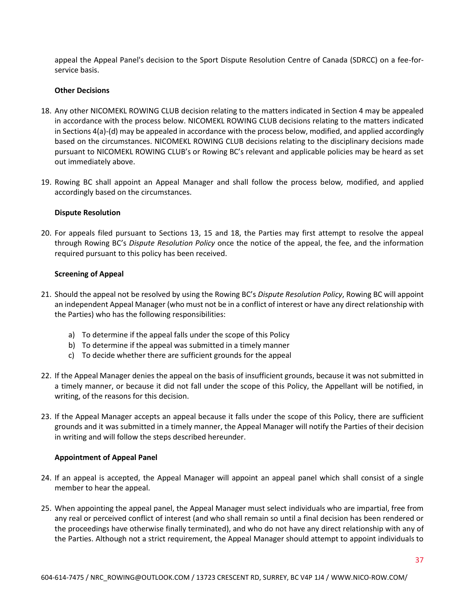appeal the Appeal Panel's decision to the Sport Dispute Resolution Centre of Canada (SDRCC) on a fee-forservice basis.

#### **Other Decisions**

- 18. Any other NICOMEKL ROWING CLUB decision relating to the matters indicated in Section 4 may be appealed in accordance with the process below. NICOMEKL ROWING CLUB decisions relating to the matters indicated in Sections 4(a)-(d) may be appealed in accordance with the process below, modified, and applied accordingly based on the circumstances. NICOMEKL ROWING CLUB decisions relating to the disciplinary decisions made pursuant to NICOMEKL ROWING CLUB's or Rowing BC's relevant and applicable policies may be heard as set out immediately above.
- 19. Rowing BC shall appoint an Appeal Manager and shall follow the process below*,* modified, and applied accordingly based on the circumstances.

#### **Dispute Resolution**

20. For appeals filed pursuant to Sections 13, 15 and 18, the Parties may first attempt to resolve the appeal through Rowing BC's *Dispute Resolution Policy* once the notice of the appeal, the fee, and the information required pursuant to this policy has been received.

#### **Screening of Appeal**

- 21. Should the appeal not be resolved by using the Rowing BC's *Dispute Resolution Policy*, Rowing BC will appoint an independent Appeal Manager (who must not be in a conflict of interest or have any direct relationship with the Parties) who has the following responsibilities:
	- a) To determine if the appeal falls under the scope of this Policy
	- b) To determine if the appeal was submitted in a timely manner
	- c) To decide whether there are sufficient grounds for the appeal
- 22. If the Appeal Manager denies the appeal on the basis of insufficient grounds, because it was not submitted in a timely manner, or because it did not fall under the scope of this Policy, the Appellant will be notified, in writing, of the reasons for this decision.
- 23. If the Appeal Manager accepts an appeal because it falls under the scope of this Policy, there are sufficient grounds and it was submitted in a timely manner, the Appeal Manager will notify the Parties of their decision in writing and will follow the steps described hereunder.

### **Appointment of Appeal Panel**

- 24. If an appeal is accepted, the Appeal Manager will appoint an appeal panel which shall consist of a single member to hear the appeal.
- 25. When appointing the appeal panel, the Appeal Manager must select individuals who are impartial, free from any real or perceived conflict of interest (and who shall remain so until a final decision has been rendered or the proceedings have otherwise finally terminated), and who do not have any direct relationship with any of the Parties. Although not a strict requirement, the Appeal Manager should attempt to appoint individuals to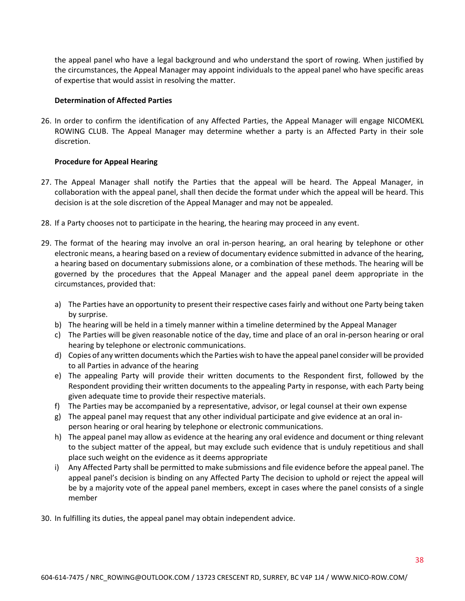the appeal panel who have a legal background and who understand the sport of rowing. When justified by the circumstances, the Appeal Manager may appoint individuals to the appeal panel who have specific areas of expertise that would assist in resolving the matter.

#### **Determination of Affected Parties**

26. In order to confirm the identification of any Affected Parties, the Appeal Manager will engage NICOMEKL ROWING CLUB. The Appeal Manager may determine whether a party is an Affected Party in their sole discretion.

### **Procedure for Appeal Hearing**

- 27. The Appeal Manager shall notify the Parties that the appeal will be heard. The Appeal Manager, in collaboration with the appeal panel, shall then decide the format under which the appeal will be heard. This decision is at the sole discretion of the Appeal Manager and may not be appealed.
- 28. If a Party chooses not to participate in the hearing, the hearing may proceed in any event.
- 29. The format of the hearing may involve an oral in-person hearing, an oral hearing by telephone or other electronic means, a hearing based on a review of documentary evidence submitted in advance of the hearing, a hearing based on documentary submissions alone, or a combination of these methods. The hearing will be governed by the procedures that the Appeal Manager and the appeal panel deem appropriate in the circumstances, provided that:
	- a) The Parties have an opportunity to present their respective cases fairly and without one Party being taken by surprise.
	- b) The hearing will be held in a timely manner within a timeline determined by the Appeal Manager
	- c) The Parties will be given reasonable notice of the day, time and place of an oral in-person hearing or oral hearing by telephone or electronic communications.
	- d) Copies of any written documents which the Parties wish to have the appeal panel consider will be provided to all Parties in advance of the hearing
	- e) The appealing Party will provide their written documents to the Respondent first, followed by the Respondent providing their written documents to the appealing Party in response, with each Party being given adequate time to provide their respective materials.
	- f) The Parties may be accompanied by a representative, advisor, or legal counsel at their own expense
	- g) The appeal panel may request that any other individual participate and give evidence at an oral inperson hearing or oral hearing by telephone or electronic communications.
	- h) The appeal panel may allow as evidence at the hearing any oral evidence and document or thing relevant to the subject matter of the appeal, but may exclude such evidence that is unduly repetitious and shall place such weight on the evidence as it deems appropriate
	- i) Any Affected Party shall be permitted to make submissions and file evidence before the appeal panel. The appeal panel's decision is binding on any Affected Party The decision to uphold or reject the appeal will be by a majority vote of the appeal panel members, except in cases where the panel consists of a single member
- 30. In fulfilling its duties, the appeal panel may obtain independent advice.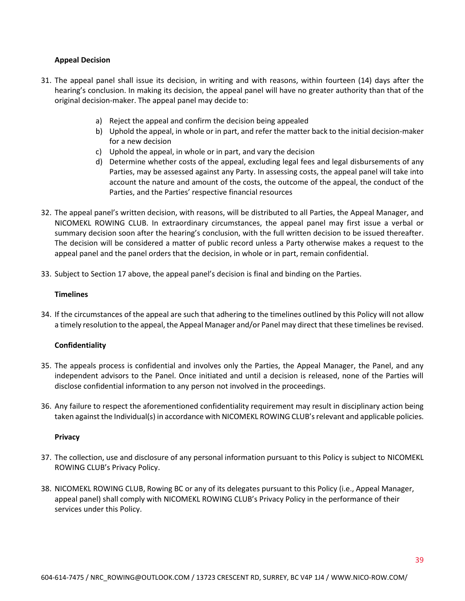### **Appeal Decision**

- 31. The appeal panel shall issue its decision, in writing and with reasons, within fourteen (14) days after the hearing's conclusion. In making its decision, the appeal panel will have no greater authority than that of the original decision-maker. The appeal panel may decide to:
	- a) Reject the appeal and confirm the decision being appealed
	- b) Uphold the appeal, in whole or in part, and refer the matter back to the initial decision-maker for a new decision
	- c) Uphold the appeal, in whole or in part, and vary the decision
	- d) Determine whether costs of the appeal, excluding legal fees and legal disbursements of any Parties, may be assessed against any Party. In assessing costs, the appeal panel will take into account the nature and amount of the costs, the outcome of the appeal, the conduct of the Parties, and the Parties' respective financial resources
- 32. The appeal panel's written decision, with reasons, will be distributed to all Parties, the Appeal Manager, and NICOMEKL ROWING CLUB. In extraordinary circumstances, the appeal panel may first issue a verbal or summary decision soon after the hearing's conclusion, with the full written decision to be issued thereafter. The decision will be considered a matter of public record unless a Party otherwise makes a request to the appeal panel and the panel orders that the decision, in whole or in part, remain confidential.
- 33. Subject to Section 17 above, the appeal panel's decision is final and binding on the Parties.

### **Timelines**

34. If the circumstances of the appeal are such that adhering to the timelines outlined by this Policy will not allow a timely resolution to the appeal, the Appeal Manager and/or Panel may direct that these timelines be revised.

### **Confidentiality**

- 35. The appeals process is confidential and involves only the Parties, the Appeal Manager, the Panel, and any independent advisors to the Panel. Once initiated and until a decision is released, none of the Parties will disclose confidential information to any person not involved in the proceedings.
- 36. Any failure to respect the aforementioned confidentiality requirement may result in disciplinary action being taken against the Individual(s) in accordance with NICOMEKL ROWING CLUB's relevant and applicable policies.

### **Privacy**

- 37. The collection, use and disclosure of any personal information pursuant to this Policy is subject to NICOMEKL ROWING CLUB's Privacy Policy.
- 38. NICOMEKL ROWING CLUB, Rowing BC or any of its delegates pursuant to this Policy (i.e., Appeal Manager, appeal panel) shall comply with NICOMEKL ROWING CLUB's Privacy Policy in the performance of their services under this Policy.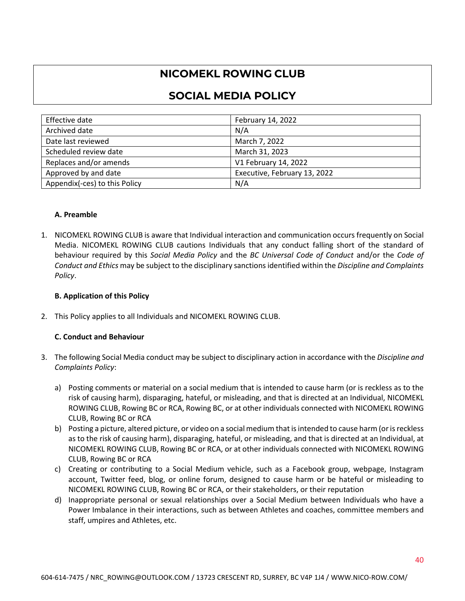# **NICOMEKL ROWING CLUB**

# **SOCIAL MEDIA POLICY**

| Effective date                | February 14, 2022            |
|-------------------------------|------------------------------|
| Archived date                 | N/A                          |
| Date last reviewed            | March 7, 2022                |
| Scheduled review date         | March 31, 2023               |
| Replaces and/or amends        | V1 February 14, 2022         |
| Approved by and date          | Executive, February 13, 2022 |
| Appendix(-ces) to this Policy | N/A                          |

# **A. Preamble**

1. NICOMEKL ROWING CLUB is aware that Individual interaction and communication occurs frequently on Social Media. NICOMEKL ROWING CLUB cautions Individuals that any conduct falling short of the standard of behaviour required by this *Social Media Policy* and the *BC Universal Code of Conduct* and/or the *Code of Conduct and Ethics* may be subject to the disciplinary sanctions identified within the *Discipline and Complaints Policy*.

# **B. Application of this Policy**

2. This Policy applies to all Individuals and NICOMEKL ROWING CLUB.

# **C. Conduct and Behaviour**

- 3. The following Social Media conduct may be subject to disciplinary action in accordance with the *Discipline and Complaints Policy*:
	- a) Posting comments or material on a social medium that is intended to cause harm (or is reckless as to the risk of causing harm), disparaging, hateful, or misleading, and that is directed at an Individual, NICOMEKL ROWING CLUB, Rowing BC or RCA, Rowing BC, or at other individuals connected with NICOMEKL ROWING CLUB, Rowing BC or RCA
	- b) Posting a picture, altered picture, or video on a social medium that is intended to cause harm (or is reckless as to the risk of causing harm), disparaging, hateful, or misleading, and that is directed at an Individual, at NICOMEKL ROWING CLUB, Rowing BC or RCA, or at other individuals connected with NICOMEKL ROWING CLUB, Rowing BC or RCA
	- c) Creating or contributing to a Social Medium vehicle, such as a Facebook group, webpage, Instagram account, Twitter feed, blog, or online forum, designed to cause harm or be hateful or misleading to NICOMEKL ROWING CLUB, Rowing BC or RCA, or their stakeholders, or their reputation
	- d) Inappropriate personal or sexual relationships over a Social Medium between Individuals who have a Power Imbalance in their interactions, such as between Athletes and coaches, committee members and staff, umpires and Athletes, etc.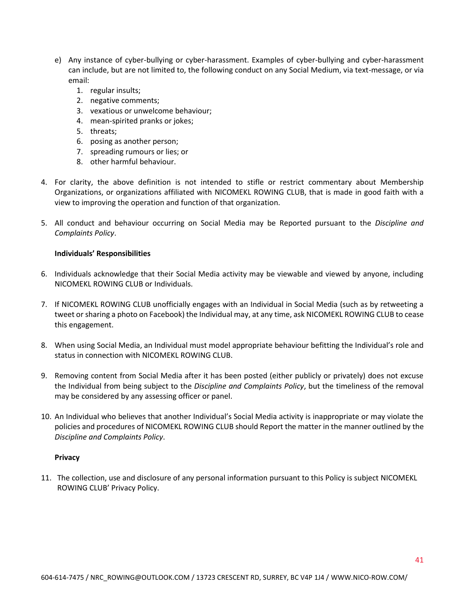- e) Any instance of cyber-bullying or cyber-harassment. Examples of cyber-bullying and cyber-harassment can include, but are not limited to, the following conduct on any Social Medium, via text-message, or via email:
	- 1. regular insults;
	- 2. negative comments;
	- 3. vexatious or unwelcome behaviour;
	- 4. mean-spirited pranks or jokes;
	- 5. threats;
	- 6. posing as another person;
	- 7. spreading rumours or lies; or
	- 8. other harmful behaviour.
- 4. For clarity, the above definition is not intended to stifle or restrict commentary about Membership Organizations, or organizations affiliated with NICOMEKL ROWING CLUB, that is made in good faith with a view to improving the operation and function of that organization.
- 5. All conduct and behaviour occurring on Social Media may be Reported pursuant to the *Discipline and Complaints Policy*.

#### **Individuals' Responsibilities**

- 6. Individuals acknowledge that their Social Media activity may be viewable and viewed by anyone, including NICOMEKL ROWING CLUB or Individuals.
- 7. If NICOMEKL ROWING CLUB unofficially engages with an Individual in Social Media (such as by retweeting a tweet or sharing a photo on Facebook) the Individual may, at any time, ask NICOMEKL ROWING CLUB to cease this engagement.
- 8. When using Social Media, an Individual must model appropriate behaviour befitting the Individual's role and status in connection with NICOMEKL ROWING CLUB.
- 9. Removing content from Social Media after it has been posted (either publicly or privately) does not excuse the Individual from being subject to the *Discipline and Complaints Policy*, but the timeliness of the removal may be considered by any assessing officer or panel.
- 10. An Individual who believes that another Individual's Social Media activity is inappropriate or may violate the policies and procedures of NICOMEKL ROWING CLUB should Report the matter in the manner outlined by the *Discipline and Complaints Policy*.

#### **Privacy**

11. The collection, use and disclosure of any personal information pursuant to this Policy is subject NICOMEKL ROWING CLUB' Privacy Policy.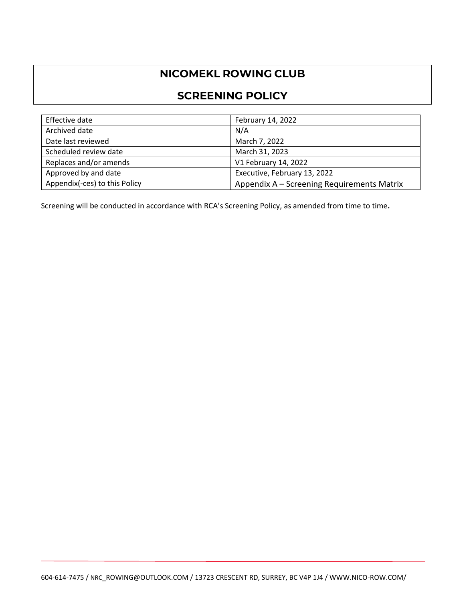# **NICOMEKL ROWING CLUB**

# **SCREENING POLICY**

| Effective date                | February 14, 2022                          |
|-------------------------------|--------------------------------------------|
| Archived date                 | N/A                                        |
| Date last reviewed            | March 7, 2022                              |
| Scheduled review date         | March 31, 2023                             |
| Replaces and/or amends        | V1 February 14, 2022                       |
| Approved by and date          | Executive, February 13, 2022               |
| Appendix(-ces) to this Policy | Appendix A – Screening Requirements Matrix |

Screening will be conducted in accordance with RCA's Screening Policy, as amended from time to time**.**